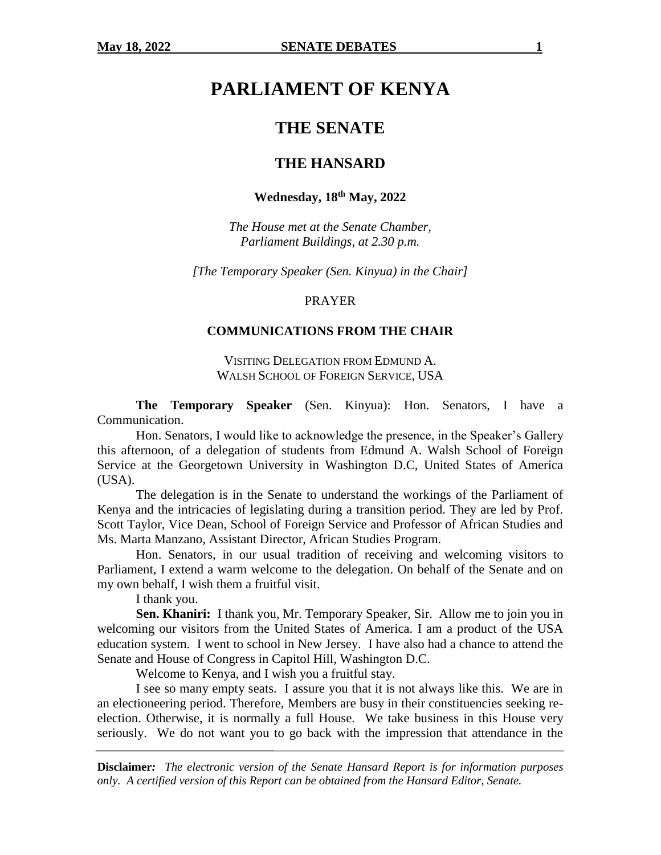# **PARLIAMENT OF KENYA**

# **THE SENATE**

# **THE HANSARD**

# **Wednesday, 18th May, 2022**

*The House met at the Senate Chamber, Parliament Buildings, at 2.30 p.m.*

*[The Temporary Speaker (Sen. Kinyua) in the Chair]*

#### PRAYER

#### **COMMUNICATIONS FROM THE CHAIR**

VISITING DELEGATION FROM EDMUND A. WALSH SCHOOL OF FOREIGN SERVICE, USA

**The Temporary Speaker** (Sen. Kinyua): Hon. Senators, I have a Communication.

Hon. Senators, I would like to acknowledge the presence, in the Speaker's Gallery this afternoon, of a delegation of students from Edmund A. Walsh School of Foreign Service at the Georgetown University in Washington D.C, United States of America (USA).

The delegation is in the Senate to understand the workings of the Parliament of Kenya and the intricacies of legislating during a transition period. They are led by Prof. Scott Taylor, Vice Dean, School of Foreign Service and Professor of African Studies and Ms. Marta Manzano, Assistant Director, African Studies Program.

Hon. Senators, in our usual tradition of receiving and welcoming visitors to Parliament, I extend a warm welcome to the delegation. On behalf of the Senate and on my own behalf, I wish them a fruitful visit.

I thank you.

**Sen. Khaniri:** I thank you, Mr. Temporary Speaker, Sir. Allow me to join you in welcoming our visitors from the United States of America. I am a product of the USA education system. I went to school in New Jersey. I have also had a chance to attend the Senate and House of Congress in Capitol Hill, Washington D.C.

Welcome to Kenya, and I wish you a fruitful stay.

I see so many empty seats. I assure you that it is not always like this. We are in an electioneering period. Therefore, Members are busy in their constituencies seeking reelection. Otherwise, it is normally a full House. We take business in this House very seriously. We do not want you to go back with the impression that attendance in the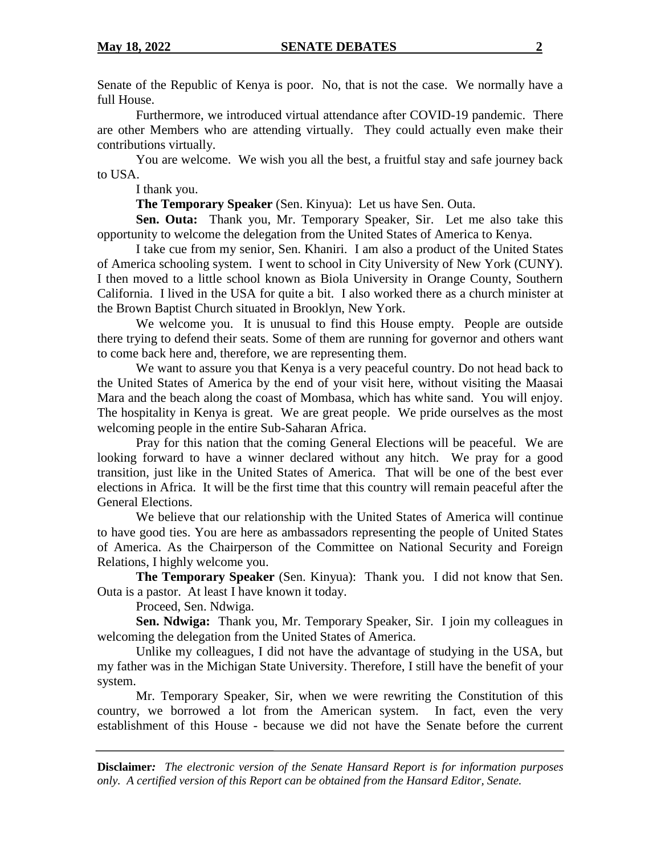Senate of the Republic of Kenya is poor. No, that is not the case. We normally have a full House.

Furthermore, we introduced virtual attendance after COVID-19 pandemic. There are other Members who are attending virtually. They could actually even make their contributions virtually.

You are welcome. We wish you all the best, a fruitful stay and safe journey back to USA.

I thank you.

**The Temporary Speaker** (Sen. Kinyua): Let us have Sen. Outa.

**Sen. Outa:** Thank you, Mr. Temporary Speaker, Sir. Let me also take this opportunity to welcome the delegation from the United States of America to Kenya.

I take cue from my senior, Sen. Khaniri. I am also a product of the United States of America schooling system. I went to school in City University of New York (CUNY). I then moved to a little school known as Biola University in Orange County, Southern California. I lived in the USA for quite a bit. I also worked there as a church minister at the Brown Baptist Church situated in Brooklyn, New York.

We welcome you. It is unusual to find this House empty. People are outside there trying to defend their seats. Some of them are running for governor and others want to come back here and, therefore, we are representing them.

We want to assure you that Kenya is a very peaceful country. Do not head back to the United States of America by the end of your visit here, without visiting the Maasai Mara and the beach along the coast of Mombasa, which has white sand. You will enjoy. The hospitality in Kenya is great. We are great people. We pride ourselves as the most welcoming people in the entire Sub-Saharan Africa.

Pray for this nation that the coming General Elections will be peaceful. We are looking forward to have a winner declared without any hitch. We pray for a good transition, just like in the United States of America. That will be one of the best ever elections in Africa. It will be the first time that this country will remain peaceful after the General Elections.

We believe that our relationship with the United States of America will continue to have good ties. You are here as ambassadors representing the people of United States of America. As the Chairperson of the Committee on National Security and Foreign Relations, I highly welcome you.

**The Temporary Speaker** (Sen. Kinyua): Thank you. I did not know that Sen. Outa is a pastor. At least I have known it today.

Proceed, Sen. Ndwiga.

**Sen. Ndwiga:** Thank you, Mr. Temporary Speaker, Sir. I join my colleagues in welcoming the delegation from the United States of America.

Unlike my colleagues, I did not have the advantage of studying in the USA, but my father was in the Michigan State University. Therefore, I still have the benefit of your system.

Mr. Temporary Speaker, Sir, when we were rewriting the Constitution of this country, we borrowed a lot from the American system. In fact, even the very establishment of this House - because we did not have the Senate before the current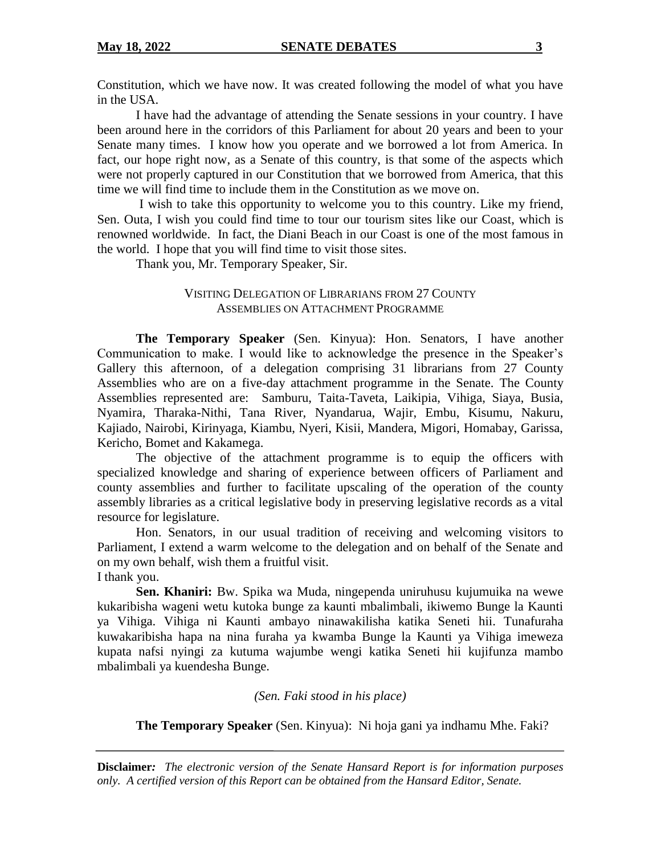Constitution, which we have now. It was created following the model of what you have in the USA.

I have had the advantage of attending the Senate sessions in your country. I have been around here in the corridors of this Parliament for about 20 years and been to your Senate many times. I know how you operate and we borrowed a lot from America. In fact, our hope right now, as a Senate of this country, is that some of the aspects which were not properly captured in our Constitution that we borrowed from America, that this time we will find time to include them in the Constitution as we move on.

I wish to take this opportunity to welcome you to this country. Like my friend, Sen. Outa, I wish you could find time to tour our tourism sites like our Coast, which is renowned worldwide. In fact, the Diani Beach in our Coast is one of the most famous in the world. I hope that you will find time to visit those sites.

Thank you, Mr. Temporary Speaker, Sir.

# VISITING DELEGATION OF LIBRARIANS FROM 27 COUNTY ASSEMBLIES ON ATTACHMENT PROGRAMME

**The Temporary Speaker** (Sen. Kinyua): Hon. Senators, I have another Communication to make. I would like to acknowledge the presence in the Speaker's Gallery this afternoon, of a delegation comprising 31 librarians from 27 County Assemblies who are on a five-day attachment programme in the Senate. The County Assemblies represented are: Samburu, Taita-Taveta, Laikipia, Vihiga, Siaya, Busia, Nyamira, Tharaka-Nithi, Tana River, Nyandarua, Wajir, Embu, Kisumu, Nakuru, Kajiado, Nairobi, Kirinyaga, Kiambu, Nyeri, Kisii, Mandera, Migori, Homabay, Garissa, Kericho, Bomet and Kakamega.

The objective of the attachment programme is to equip the officers with specialized knowledge and sharing of experience between officers of Parliament and county assemblies and further to facilitate upscaling of the operation of the county assembly libraries as a critical legislative body in preserving legislative records as a vital resource for legislature.

Hon. Senators, in our usual tradition of receiving and welcoming visitors to Parliament, I extend a warm welcome to the delegation and on behalf of the Senate and on my own behalf, wish them a fruitful visit.

I thank you.

**Sen. Khaniri:** Bw. Spika wa Muda, ningependa uniruhusu kujumuika na wewe kukaribisha wageni wetu kutoka bunge za kaunti mbalimbali, ikiwemo Bunge la Kaunti ya Vihiga. Vihiga ni Kaunti ambayo ninawakilisha katika Seneti hii. Tunafuraha kuwakaribisha hapa na nina furaha ya kwamba Bunge la Kaunti ya Vihiga imeweza kupata nafsi nyingi za kutuma wajumbe wengi katika Seneti hii kujifunza mambo mbalimbali ya kuendesha Bunge.

# *(Sen. Faki stood in his place)*

**The Temporary Speaker** (Sen. Kinyua): Ni hoja gani ya indhamu Mhe. Faki?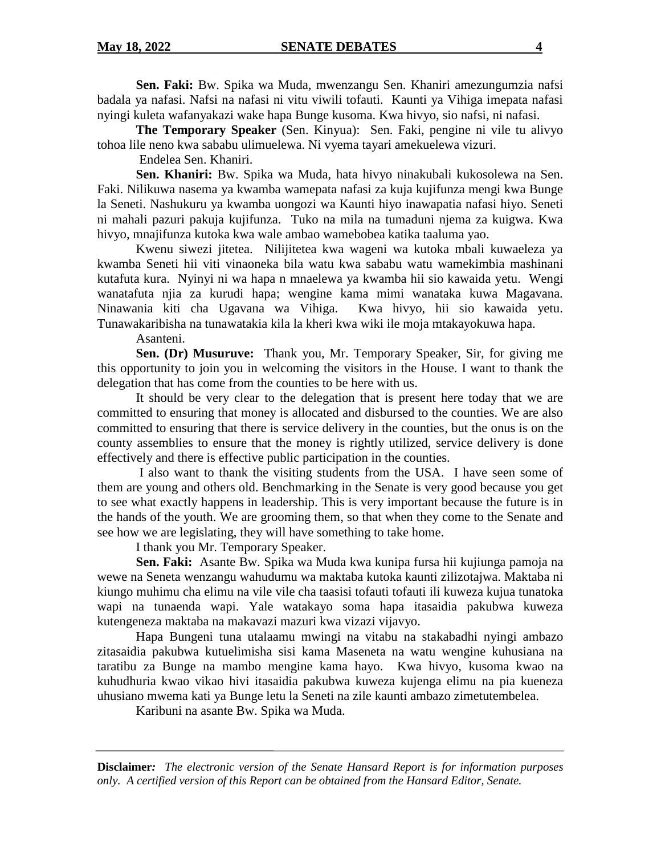**Sen. Faki:** Bw. Spika wa Muda, mwenzangu Sen. Khaniri amezungumzia nafsi badala ya nafasi. Nafsi na nafasi ni vitu viwili tofauti. Kaunti ya Vihiga imepata nafasi nyingi kuleta wafanyakazi wake hapa Bunge kusoma. Kwa hivyo, sio nafsi, ni nafasi.

**The Temporary Speaker** (Sen. Kinyua):Sen. Faki, pengine ni vile tu alivyo tohoa lile neno kwa sababu ulimuelewa. Ni vyema tayari amekuelewa vizuri.

Endelea Sen. Khaniri.

**Sen. Khaniri:** Bw. Spika wa Muda, hata hivyo ninakubali kukosolewa na Sen. Faki. Nilikuwa nasema ya kwamba wamepata nafasi za kuja kujifunza mengi kwa Bunge la Seneti. Nashukuru ya kwamba uongozi wa Kaunti hiyo inawapatia nafasi hiyo. Seneti ni mahali pazuri pakuja kujifunza. Tuko na mila na tumaduni njema za kuigwa. Kwa hivyo, mnajifunza kutoka kwa wale ambao wamebobea katika taaluma yao.

Kwenu siwezi jitetea. Nilijitetea kwa wageni wa kutoka mbali kuwaeleza ya kwamba Seneti hii viti vinaoneka bila watu kwa sababu watu wamekimbia mashinani kutafuta kura. Nyinyi ni wa hapa n mnaelewa ya kwamba hii sio kawaida yetu. Wengi wanatafuta njia za kurudi hapa; wengine kama mimi wanataka kuwa Magavana. Ninawania kiti cha Ugavana wa Vihiga. Kwa hivyo, hii sio kawaida yetu. Tunawakaribisha na tunawatakia kila la kheri kwa wiki ile moja mtakayokuwa hapa.

Asanteni.

**Sen. (Dr) Musuruve:** Thank you, Mr. Temporary Speaker, Sir, for giving me this opportunity to join you in welcoming the visitors in the House. I want to thank the delegation that has come from the counties to be here with us.

It should be very clear to the delegation that is present here today that we are committed to ensuring that money is allocated and disbursed to the counties. We are also committed to ensuring that there is service delivery in the counties, but the onus is on the county assemblies to ensure that the money is rightly utilized, service delivery is done effectively and there is effective public participation in the counties.

I also want to thank the visiting students from the USA. I have seen some of them are young and others old. Benchmarking in the Senate is very good because you get to see what exactly happens in leadership. This is very important because the future is in the hands of the youth. We are grooming them, so that when they come to the Senate and see how we are legislating, they will have something to take home.

I thank you Mr. Temporary Speaker.

**Sen. Faki:** Asante Bw. Spika wa Muda kwa kunipa fursa hii kujiunga pamoja na wewe na Seneta wenzangu wahudumu wa maktaba kutoka kaunti zilizotajwa. Maktaba ni kiungo muhimu cha elimu na vile vile cha taasisi tofauti tofauti ili kuweza kujua tunatoka wapi na tunaenda wapi. Yale watakayo soma hapa itasaidia pakubwa kuweza kutengeneza maktaba na makavazi mazuri kwa vizazi vijavyo.

Hapa Bungeni tuna utalaamu mwingi na vitabu na stakabadhi nyingi ambazo zitasaidia pakubwa kutuelimisha sisi kama Maseneta na watu wengine kuhusiana na taratibu za Bunge na mambo mengine kama hayo. Kwa hivyo, kusoma kwao na kuhudhuria kwao vikao hivi itasaidia pakubwa kuweza kujenga elimu na pia kueneza uhusiano mwema kati ya Bunge letu la Seneti na zile kaunti ambazo zimetutembelea.

Karibuni na asante Bw. Spika wa Muda.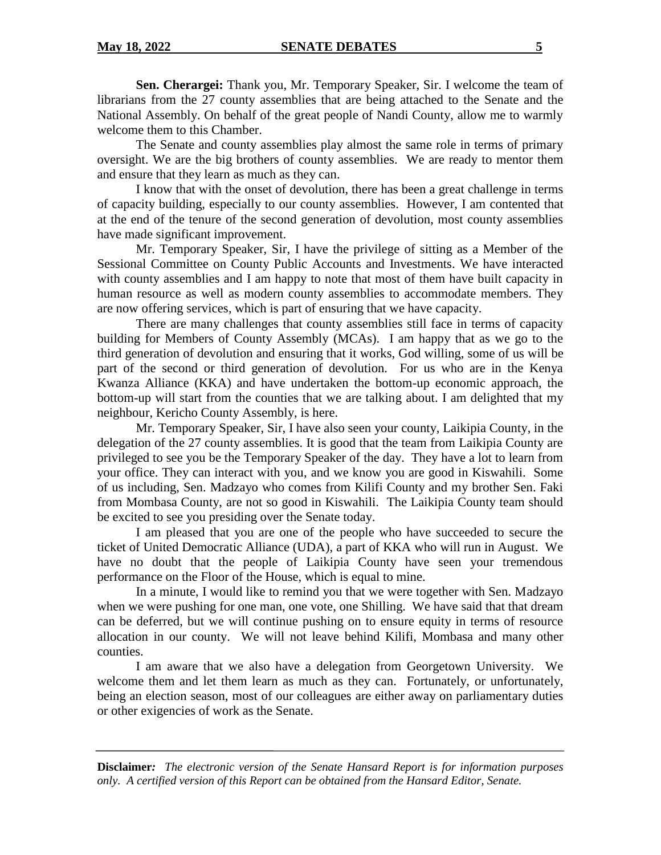**Sen. Cherargei:** Thank you, Mr. Temporary Speaker, Sir. I welcome the team of librarians from the 27 county assemblies that are being attached to the Senate and the National Assembly. On behalf of the great people of Nandi County, allow me to warmly welcome them to this Chamber.

The Senate and county assemblies play almost the same role in terms of primary oversight. We are the big brothers of county assemblies. We are ready to mentor them and ensure that they learn as much as they can.

I know that with the onset of devolution, there has been a great challenge in terms of capacity building, especially to our county assemblies. However, I am contented that at the end of the tenure of the second generation of devolution, most county assemblies have made significant improvement.

Mr. Temporary Speaker, Sir, I have the privilege of sitting as a Member of the Sessional Committee on County Public Accounts and Investments. We have interacted with county assemblies and I am happy to note that most of them have built capacity in human resource as well as modern county assemblies to accommodate members. They are now offering services, which is part of ensuring that we have capacity.

There are many challenges that county assemblies still face in terms of capacity building for Members of County Assembly (MCAs). I am happy that as we go to the third generation of devolution and ensuring that it works, God willing, some of us will be part of the second or third generation of devolution. For us who are in the Kenya Kwanza Alliance (KKA) and have undertaken the bottom-up economic approach, the bottom-up will start from the counties that we are talking about. I am delighted that my neighbour, Kericho County Assembly, is here.

Mr. Temporary Speaker, Sir, I have also seen your county, Laikipia County, in the delegation of the 27 county assemblies. It is good that the team from Laikipia County are privileged to see you be the Temporary Speaker of the day. They have a lot to learn from your office. They can interact with you, and we know you are good in Kiswahili. Some of us including, Sen. Madzayo who comes from Kilifi County and my brother Sen. Faki from Mombasa County, are not so good in Kiswahili. The Laikipia County team should be excited to see you presiding over the Senate today.

I am pleased that you are one of the people who have succeeded to secure the ticket of United Democratic Alliance (UDA), a part of KKA who will run in August. We have no doubt that the people of Laikipia County have seen your tremendous performance on the Floor of the House, which is equal to mine.

In a minute, I would like to remind you that we were together with Sen. Madzayo when we were pushing for one man, one vote, one Shilling. We have said that that dream can be deferred, but we will continue pushing on to ensure equity in terms of resource allocation in our county. We will not leave behind Kilifi, Mombasa and many other counties.

I am aware that we also have a delegation from Georgetown University. We welcome them and let them learn as much as they can. Fortunately, or unfortunately, being an election season, most of our colleagues are either away on parliamentary duties or other exigencies of work as the Senate.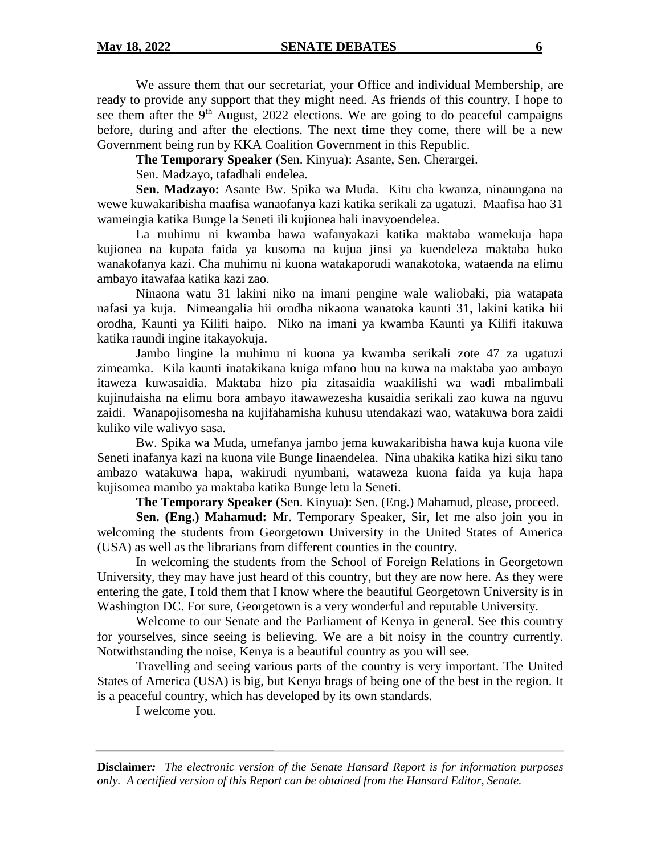We assure them that our secretariat, your Office and individual Membership, are ready to provide any support that they might need. As friends of this country, I hope to see them after the  $9<sup>th</sup>$  August, 2022 elections. We are going to do peaceful campaigns before, during and after the elections. The next time they come, there will be a new Government being run by KKA Coalition Government in this Republic.

**The Temporary Speaker** (Sen. Kinyua): Asante, Sen. Cherargei.

Sen. Madzayo, tafadhali endelea.

**Sen. Madzayo:** Asante Bw. Spika wa Muda. Kitu cha kwanza, ninaungana na wewe kuwakaribisha maafisa wanaofanya kazi katika serikali za ugatuzi. Maafisa hao 31 wameingia katika Bunge la Seneti ili kujionea hali inavyoendelea.

La muhimu ni kwamba hawa wafanyakazi katika maktaba wamekuja hapa kujionea na kupata faida ya kusoma na kujua jinsi ya kuendeleza maktaba huko wanakofanya kazi. Cha muhimu ni kuona watakaporudi wanakotoka, wataenda na elimu ambayo itawafaa katika kazi zao.

Ninaona watu 31 lakini niko na imani pengine wale waliobaki, pia watapata nafasi ya kuja. Nimeangalia hii orodha nikaona wanatoka kaunti 31, lakini katika hii orodha, Kaunti ya Kilifi haipo. Niko na imani ya kwamba Kaunti ya Kilifi itakuwa katika raundi ingine itakayokuja.

Jambo lingine la muhimu ni kuona ya kwamba serikali zote 47 za ugatuzi zimeamka. Kila kaunti inatakikana kuiga mfano huu na kuwa na maktaba yao ambayo itaweza kuwasaidia. Maktaba hizo pia zitasaidia waakilishi wa wadi mbalimbali kujinufaisha na elimu bora ambayo itawawezesha kusaidia serikali zao kuwa na nguvu zaidi. Wanapojisomesha na kujifahamisha kuhusu utendakazi wao, watakuwa bora zaidi kuliko vile walivyo sasa.

Bw. Spika wa Muda, umefanya jambo jema kuwakaribisha hawa kuja kuona vile Seneti inafanya kazi na kuona vile Bunge linaendelea. Nina uhakika katika hizi siku tano ambazo watakuwa hapa, wakirudi nyumbani, wataweza kuona faida ya kuja hapa kujisomea mambo ya maktaba katika Bunge letu la Seneti.

**The Temporary Speaker** (Sen. Kinyua): Sen. (Eng.) Mahamud, please, proceed.

**Sen. (Eng.) Mahamud:** Mr. Temporary Speaker, Sir, let me also join you in welcoming the students from Georgetown University in the United States of America (USA) as well as the librarians from different counties in the country.

In welcoming the students from the School of Foreign Relations in Georgetown University, they may have just heard of this country, but they are now here. As they were entering the gate, I told them that I know where the beautiful Georgetown University is in Washington DC. For sure, Georgetown is a very wonderful and reputable University.

Welcome to our Senate and the Parliament of Kenya in general. See this country for yourselves, since seeing is believing. We are a bit noisy in the country currently. Notwithstanding the noise, Kenya is a beautiful country as you will see.

Travelling and seeing various parts of the country is very important. The United States of America (USA) is big, but Kenya brags of being one of the best in the region. It is a peaceful country, which has developed by its own standards.

I welcome you.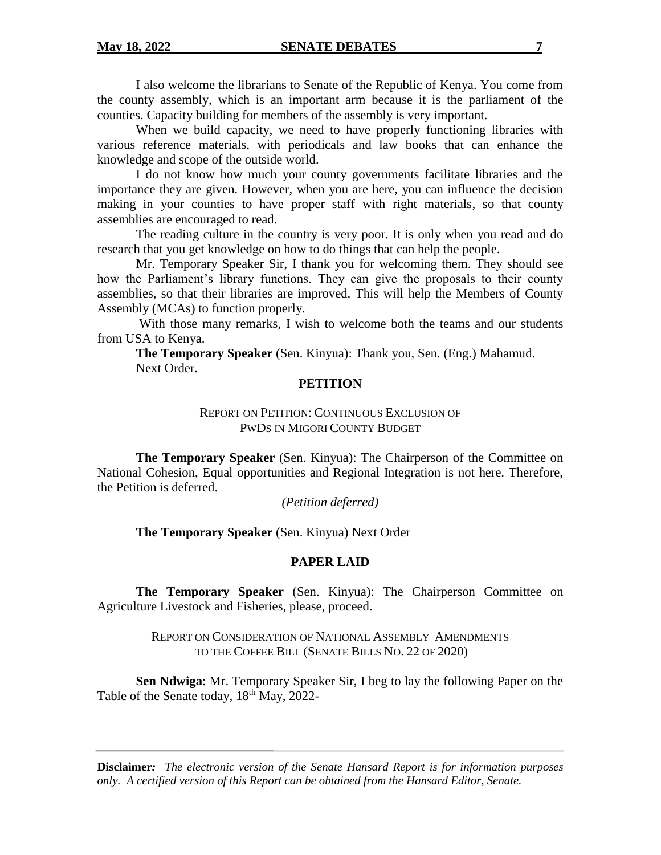I also welcome the librarians to Senate of the Republic of Kenya. You come from the county assembly, which is an important arm because it is the parliament of the counties. Capacity building for members of the assembly is very important.

When we build capacity, we need to have properly functioning libraries with various reference materials, with periodicals and law books that can enhance the knowledge and scope of the outside world.

I do not know how much your county governments facilitate libraries and the importance they are given. However, when you are here, you can influence the decision making in your counties to have proper staff with right materials, so that county assemblies are encouraged to read.

The reading culture in the country is very poor. It is only when you read and do research that you get knowledge on how to do things that can help the people.

Mr. Temporary Speaker Sir, I thank you for welcoming them. They should see how the Parliament's library functions. They can give the proposals to their county assemblies, so that their libraries are improved. This will help the Members of County Assembly (MCAs) to function properly.

With those many remarks, I wish to welcome both the teams and our students from USA to Kenya.

**The Temporary Speaker** (Sen. Kinyua): Thank you, Sen. (Eng.) Mahamud. Next Order.

### **PETITION**

# REPORT ON PETITION: CONTINUOUS EXCLUSION OF PWDS IN MIGORI COUNTY BUDGET

**The Temporary Speaker** (Sen. Kinyua): The Chairperson of the Committee on National Cohesion, Equal opportunities and Regional Integration is not here. Therefore, the Petition is deferred.

*(Petition deferred)*

**The Temporary Speaker** (Sen. Kinyua) Next Order

# **PAPER LAID**

**The Temporary Speaker** (Sen. Kinyua): The Chairperson Committee on Agriculture Livestock and Fisheries, please, proceed.

> REPORT ON CONSIDERATION OF NATIONAL ASSEMBLY AMENDMENTS TO THE COFFEE BILL (SENATE BILLS NO. 22 OF 2020)

**Sen Ndwiga**: Mr. Temporary Speaker Sir, I beg to lay the following Paper on the Table of the Senate today,  $18<sup>th</sup>$  May, 2022-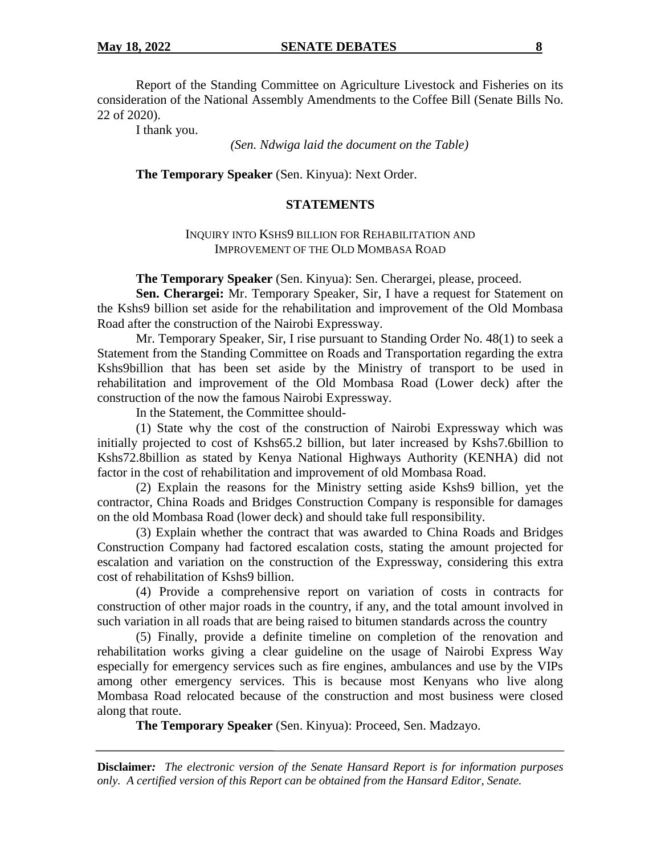Report of the Standing Committee on Agriculture Livestock and Fisheries on its consideration of the National Assembly Amendments to the Coffee Bill (Senate Bills No. 22 of 2020).

I thank you.

*(Sen. Ndwiga laid the document on the Table)*

**The Temporary Speaker** (Sen. Kinyua): Next Order.

# **STATEMENTS**

### INQUIRY INTO KSHS9 BILLION FOR REHABILITATION AND IMPROVEMENT OF THE OLD MOMBASA ROAD

**The Temporary Speaker** (Sen. Kinyua): Sen. Cherargei, please, proceed.

**Sen. Cherargei:** Mr. Temporary Speaker, Sir, I have a request for Statement on the Kshs9 billion set aside for the rehabilitation and improvement of the Old Mombasa Road after the construction of the Nairobi Expressway.

Mr. Temporary Speaker, Sir, I rise pursuant to Standing Order No. 48(1) to seek a Statement from the Standing Committee on Roads and Transportation regarding the extra Kshs9billion that has been set aside by the Ministry of transport to be used in rehabilitation and improvement of the Old Mombasa Road (Lower deck) after the construction of the now the famous Nairobi Expressway.

In the Statement, the Committee should-

(1) State why the cost of the construction of Nairobi Expressway which was initially projected to cost of Kshs65.2 billion, but later increased by Kshs7.6billion to Kshs72.8billion as stated by Kenya National Highways Authority (KENHA) did not factor in the cost of rehabilitation and improvement of old Mombasa Road.

(2) Explain the reasons for the Ministry setting aside Kshs9 billion, yet the contractor, China Roads and Bridges Construction Company is responsible for damages on the old Mombasa Road (lower deck) and should take full responsibility.

(3) Explain whether the contract that was awarded to China Roads and Bridges Construction Company had factored escalation costs, stating the amount projected for escalation and variation on the construction of the Expressway, considering this extra cost of rehabilitation of Kshs9 billion.

(4) Provide a comprehensive report on variation of costs in contracts for construction of other major roads in the country, if any, and the total amount involved in such variation in all roads that are being raised to bitumen standards across the country

(5) Finally, provide a definite timeline on completion of the renovation and rehabilitation works giving a clear guideline on the usage of Nairobi Express Way especially for emergency services such as fire engines, ambulances and use by the VIPs among other emergency services. This is because most Kenyans who live along Mombasa Road relocated because of the construction and most business were closed along that route.

**The Temporary Speaker** (Sen. Kinyua): Proceed, Sen. Madzayo.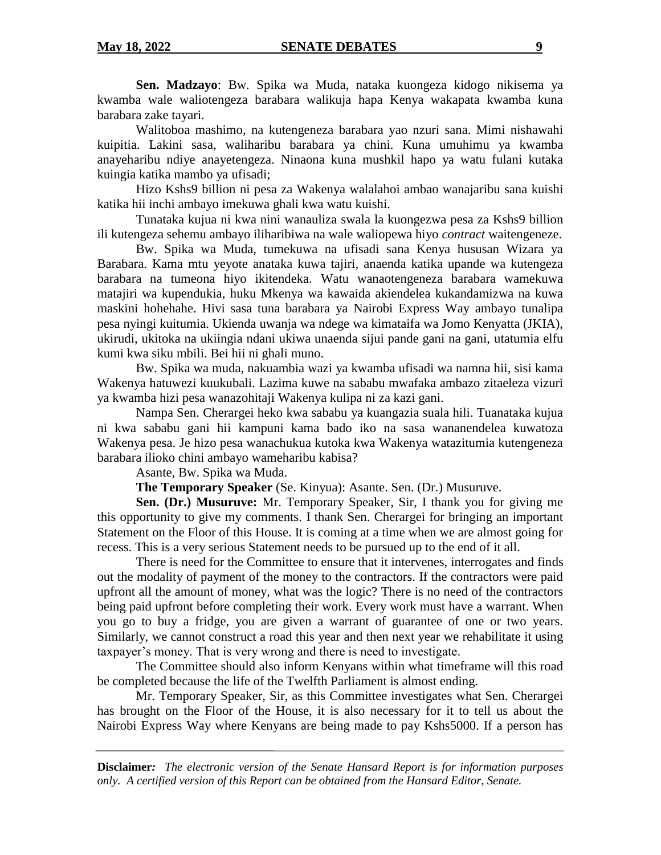**Sen. Madzayo**: Bw. Spika wa Muda, nataka kuongeza kidogo nikisema ya kwamba wale waliotengeza barabara walikuja hapa Kenya wakapata kwamba kuna barabara zake tayari.

Walitoboa mashimo, na kutengeneza barabara yao nzuri sana. Mimi nishawahi kuipitia. Lakini sasa, waliharibu barabara ya chini. Kuna umuhimu ya kwamba anayeharibu ndiye anayetengeza. Ninaona kuna mushkil hapo ya watu fulani kutaka kuingia katika mambo ya ufisadi;

Hizo Kshs9 billion ni pesa za Wakenya walalahoi ambao wanajaribu sana kuishi katika hii inchi ambayo imekuwa ghali kwa watu kuishi.

Tunataka kujua ni kwa nini wanauliza swala la kuongezwa pesa za Kshs9 billion ili kutengeza sehemu ambayo iliharibiwa na wale waliopewa hiyo *contract* waitengeneze.

Bw. Spika wa Muda, tumekuwa na ufisadi sana Kenya hususan Wizara ya Barabara. Kama mtu yeyote anataka kuwa tajiri, anaenda katika upande wa kutengeza barabara na tumeona hiyo ikitendeka. Watu wanaotengeneza barabara wamekuwa matajiri wa kupendukia, huku Mkenya wa kawaida akiendelea kukandamizwa na kuwa maskini hohehahe. Hivi sasa tuna barabara ya Nairobi Express Way ambayo tunalipa pesa nyingi kuitumia. Ukienda uwanja wa ndege wa kimataifa wa Jomo Kenyatta (JKIA), ukirudi, ukitoka na ukiingia ndani ukiwa unaenda sijui pande gani na gani, utatumia elfu kumi kwa siku mbili. Bei hii ni ghali muno.

Bw. Spika wa muda, nakuambia wazi ya kwamba ufisadi wa namna hii, sisi kama Wakenya hatuwezi kuukubali. Lazima kuwe na sababu mwafaka ambazo zitaeleza vizuri ya kwamba hizi pesa wanazohitaji Wakenya kulipa ni za kazi gani.

Nampa Sen. Cherargei heko kwa sababu ya kuangazia suala hili. Tuanataka kujua ni kwa sababu gani hii kampuni kama bado iko na sasa wananendelea kuwatoza Wakenya pesa. Je hizo pesa wanachukua kutoka kwa Wakenya watazitumia kutengeneza barabara ilioko chini ambayo wameharibu kabisa?

Asante, Bw. Spika wa Muda.

**The Temporary Speaker** (Se. Kinyua): Asante. Sen. (Dr.) Musuruve.

**Sen. (Dr.) Musuruve:** Mr. Temporary Speaker, Sir, I thank you for giving me this opportunity to give my comments. I thank Sen. Cherargei for bringing an important Statement on the Floor of this House. It is coming at a time when we are almost going for recess. This is a very serious Statement needs to be pursued up to the end of it all.

There is need for the Committee to ensure that it intervenes, interrogates and finds out the modality of payment of the money to the contractors. If the contractors were paid upfront all the amount of money, what was the logic? There is no need of the contractors being paid upfront before completing their work. Every work must have a warrant. When you go to buy a fridge, you are given a warrant of guarantee of one or two years. Similarly, we cannot construct a road this year and then next year we rehabilitate it using taxpayer's money. That is very wrong and there is need to investigate.

The Committee should also inform Kenyans within what timeframe will this road be completed because the life of the Twelfth Parliament is almost ending.

Mr. Temporary Speaker, Sir, as this Committee investigates what Sen. Cherargei has brought on the Floor of the House, it is also necessary for it to tell us about the Nairobi Express Way where Kenyans are being made to pay Kshs5000. If a person has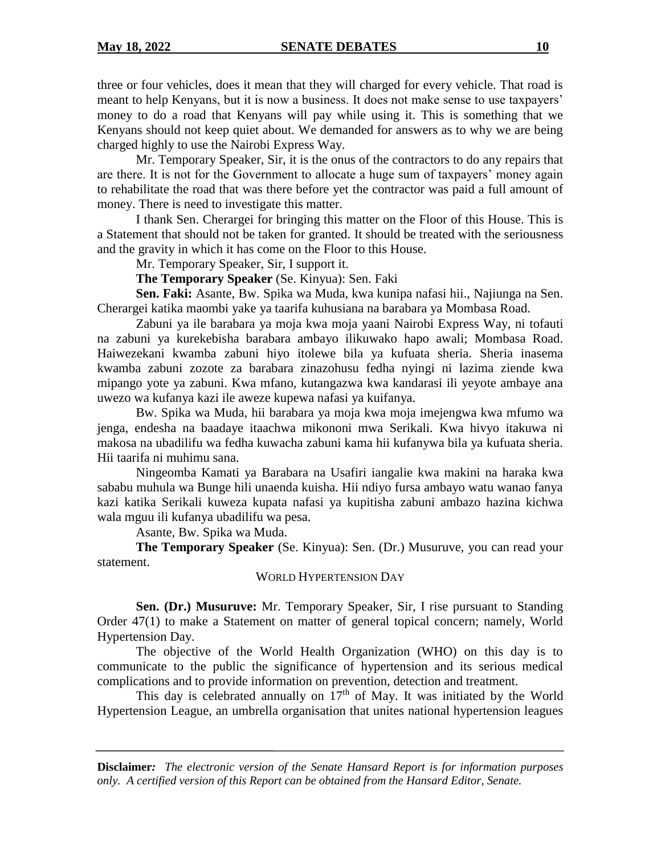three or four vehicles, does it mean that they will charged for every vehicle. That road is meant to help Kenyans, but it is now a business. It does not make sense to use taxpayers' money to do a road that Kenyans will pay while using it. This is something that we Kenyans should not keep quiet about. We demanded for answers as to why we are being charged highly to use the Nairobi Express Way.

Mr. Temporary Speaker, Sir, it is the onus of the contractors to do any repairs that are there. It is not for the Government to allocate a huge sum of taxpayers' money again to rehabilitate the road that was there before yet the contractor was paid a full amount of money. There is need to investigate this matter.

I thank Sen. Cherargei for bringing this matter on the Floor of this House. This is a Statement that should not be taken for granted. It should be treated with the seriousness and the gravity in which it has come on the Floor to this House.

Mr. Temporary Speaker, Sir, I support it.

**The Temporary Speaker** (Se. Kinyua): Sen. Faki

**Sen. Faki:** Asante, Bw. Spika wa Muda, kwa kunipa nafasi hii., Najiunga na Sen. Cherargei katika maombi yake ya taarifa kuhusiana na barabara ya Mombasa Road.

Zabuni ya ile barabara ya moja kwa moja yaani Nairobi Express Way, ni tofauti na zabuni ya kurekebisha barabara ambayo ilikuwako hapo awali; Mombasa Road. Haiwezekani kwamba zabuni hiyo itolewe bila ya kufuata sheria. Sheria inasema kwamba zabuni zozote za barabara zinazohusu fedha nyingi ni lazima ziende kwa mipango yote ya zabuni. Kwa mfano, kutangazwa kwa kandarasi ili yeyote ambaye ana uwezo wa kufanya kazi ile aweze kupewa nafasi ya kuifanya.

Bw. Spika wa Muda, hii barabara ya moja kwa moja imejengwa kwa mfumo wa jenga, endesha na baadaye itaachwa mikononi mwa Serikali. Kwa hivyo itakuwa ni makosa na ubadilifu wa fedha kuwacha zabuni kama hii kufanywa bila ya kufuata sheria. Hii taarifa ni muhimu sana.

Ningeomba Kamati ya Barabara na Usafiri iangalie kwa makini na haraka kwa sababu muhula wa Bunge hili unaenda kuisha. Hii ndiyo fursa ambayo watu wanao fanya kazi katika Serikali kuweza kupata nafasi ya kupitisha zabuni ambazo hazina kichwa wala mguu ili kufanya ubadilifu wa pesa.

Asante, Bw. Spika wa Muda.

**The Temporary Speaker** (Se. Kinyua): Sen. (Dr.) Musuruve, you can read your statement.

### WORLD HYPERTENSION DAY

**Sen. (Dr.) Musuruve:** Mr. Temporary Speaker, Sir, I rise pursuant to Standing Order 47(1) to make a Statement on matter of general topical concern; namely, World Hypertension Day.

The objective of the World Health Organization (WHO) on this day is to communicate to the public the significance of hypertension and its serious medical complications and to provide information on prevention, detection and treatment.

This day is celebrated annually on  $17<sup>th</sup>$  of May. It was initiated by the World Hypertension League, an umbrella organisation that unites national hypertension leagues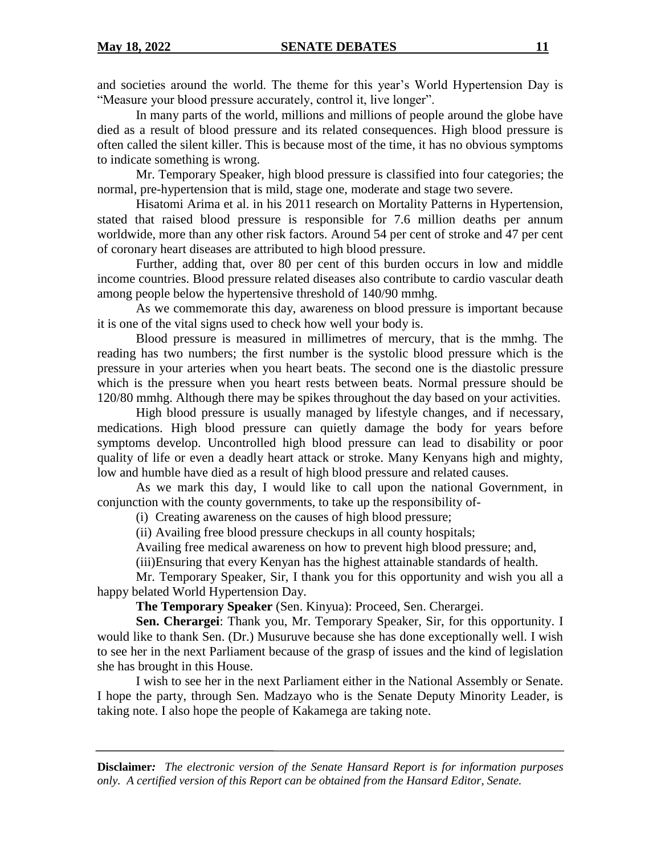and societies around the world. The theme for this year's World Hypertension Day is "Measure your blood pressure accurately, control it, live longer".

In many parts of the world, millions and millions of people around the globe have died as a result of blood pressure and its related consequences. High blood pressure is often called the silent killer. This is because most of the time, it has no obvious symptoms to indicate something is wrong.

Mr. Temporary Speaker, high blood pressure is classified into four categories; the normal, pre-hypertension that is mild, stage one, moderate and stage two severe.

Hisatomi Arima et al. in his 2011 research on Mortality Patterns in Hypertension, stated that raised blood pressure is responsible for 7.6 million deaths per annum worldwide, more than any other risk factors. Around 54 per cent of stroke and 47 per cent of coronary heart diseases are attributed to high blood pressure.

Further, adding that, over 80 per cent of this burden occurs in low and middle income countries. Blood pressure related diseases also contribute to cardio vascular death among people below the hypertensive threshold of 140/90 mmhg.

As we commemorate this day, awareness on blood pressure is important because it is one of the vital signs used to check how well your body is.

Blood pressure is measured in millimetres of mercury, that is the mmhg. The reading has two numbers; the first number is the systolic blood pressure which is the pressure in your arteries when you heart beats. The second one is the diastolic pressure which is the pressure when you heart rests between beats. Normal pressure should be 120/80 mmhg. Although there may be spikes throughout the day based on your activities.

High blood pressure is usually managed by lifestyle changes, and if necessary, medications. High blood pressure can quietly damage the body for years before symptoms develop. Uncontrolled high blood pressure can lead to disability or poor quality of life or even a deadly heart attack or stroke. Many Kenyans high and mighty, low and humble have died as a result of high blood pressure and related causes.

As we mark this day, I would like to call upon the national Government, in conjunction with the county governments, to take up the responsibility of-

(i) Creating awareness on the causes of high blood pressure;

(ii) Availing free blood pressure checkups in all county hospitals;

Availing free medical awareness on how to prevent high blood pressure; and,

(iii)Ensuring that every Kenyan has the highest attainable standards of health.

Mr. Temporary Speaker, Sir, I thank you for this opportunity and wish you all a happy belated World Hypertension Day.

**The Temporary Speaker** (Sen. Kinyua): Proceed, Sen. Cherargei.

**Sen. Cherargei**: Thank you, Mr. Temporary Speaker, Sir, for this opportunity. I would like to thank Sen. (Dr.) Musuruve because she has done exceptionally well. I wish to see her in the next Parliament because of the grasp of issues and the kind of legislation she has brought in this House.

I wish to see her in the next Parliament either in the National Assembly or Senate. I hope the party, through Sen. Madzayo who is the Senate Deputy Minority Leader, is taking note. I also hope the people of Kakamega are taking note.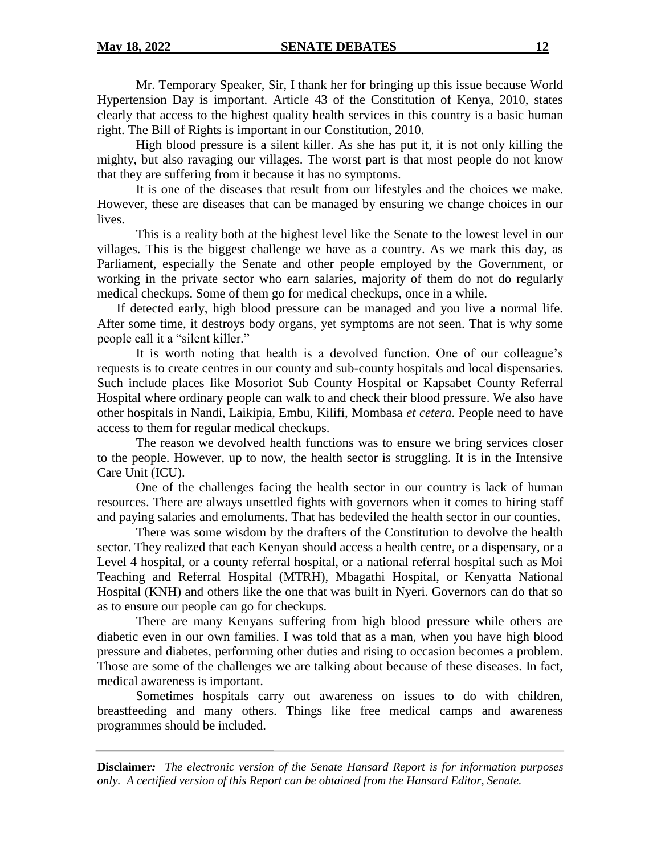Mr. Temporary Speaker, Sir, I thank her for bringing up this issue because World Hypertension Day is important. Article 43 of the Constitution of Kenya, 2010, states clearly that access to the highest quality health services in this country is a basic human right. The Bill of Rights is important in our Constitution, 2010.

High blood pressure is a silent killer. As she has put it, it is not only killing the mighty, but also ravaging our villages. The worst part is that most people do not know that they are suffering from it because it has no symptoms.

It is one of the diseases that result from our lifestyles and the choices we make. However, these are diseases that can be managed by ensuring we change choices in our lives.

This is a reality both at the highest level like the Senate to the lowest level in our villages. This is the biggest challenge we have as a country. As we mark this day, as Parliament, especially the Senate and other people employed by the Government, or working in the private sector who earn salaries, majority of them do not do regularly medical checkups. Some of them go for medical checkups, once in a while.

If detected early, high blood pressure can be managed and you live a normal life. After some time, it destroys body organs, yet symptoms are not seen. That is why some people call it a "silent killer."

It is worth noting that health is a devolved function. One of our colleague's requests is to create centres in our county and sub-county hospitals and local dispensaries. Such include places like Mosoriot Sub County Hospital or Kapsabet County Referral Hospital where ordinary people can walk to and check their blood pressure. We also have other hospitals in Nandi, Laikipia, Embu, Kilifi, Mombasa *et cetera*. People need to have access to them for regular medical checkups.

The reason we devolved health functions was to ensure we bring services closer to the people. However, up to now, the health sector is struggling. It is in the Intensive Care Unit (ICU).

One of the challenges facing the health sector in our country is lack of human resources. There are always unsettled fights with governors when it comes to hiring staff and paying salaries and emoluments. That has bedeviled the health sector in our counties.

There was some wisdom by the drafters of the Constitution to devolve the health sector. They realized that each Kenyan should access a health centre, or a dispensary, or a Level 4 hospital, or a county referral hospital, or a national referral hospital such as Moi Teaching and Referral Hospital (MTRH), Mbagathi Hospital, or Kenyatta National Hospital (KNH) and others like the one that was built in Nyeri. Governors can do that so as to ensure our people can go for checkups.

There are many Kenyans suffering from high blood pressure while others are diabetic even in our own families. I was told that as a man, when you have high blood pressure and diabetes, performing other duties and rising to occasion becomes a problem. Those are some of the challenges we are talking about because of these diseases. In fact, medical awareness is important.

Sometimes hospitals carry out awareness on issues to do with children, breastfeeding and many others. Things like free medical camps and awareness programmes should be included.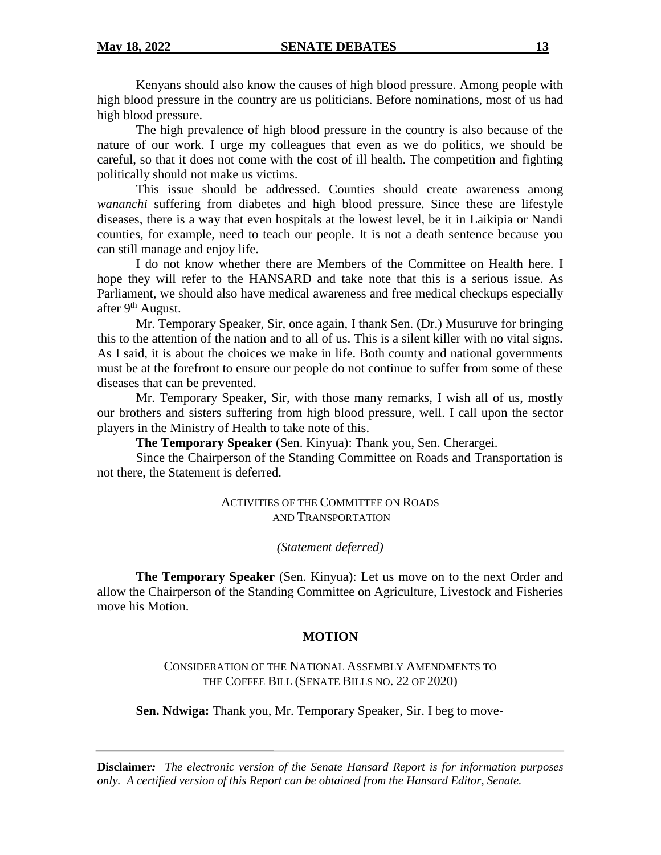Kenyans should also know the causes of high blood pressure. Among people with high blood pressure in the country are us politicians. Before nominations, most of us had high blood pressure.

The high prevalence of high blood pressure in the country is also because of the nature of our work. I urge my colleagues that even as we do politics, we should be careful, so that it does not come with the cost of ill health. The competition and fighting politically should not make us victims.

This issue should be addressed. Counties should create awareness among *wananchi* suffering from diabetes and high blood pressure. Since these are lifestyle diseases, there is a way that even hospitals at the lowest level, be it in Laikipia or Nandi counties, for example, need to teach our people. It is not a death sentence because you can still manage and enjoy life.

I do not know whether there are Members of the Committee on Health here. I hope they will refer to the HANSARD and take note that this is a serious issue. As Parliament, we should also have medical awareness and free medical checkups especially after  $9<sup>th</sup>$  August.

Mr. Temporary Speaker, Sir, once again, I thank Sen. (Dr.) Musuruve for bringing this to the attention of the nation and to all of us. This is a silent killer with no vital signs. As I said, it is about the choices we make in life. Both county and national governments must be at the forefront to ensure our people do not continue to suffer from some of these diseases that can be prevented.

Mr. Temporary Speaker, Sir, with those many remarks, I wish all of us, mostly our brothers and sisters suffering from high blood pressure, well. I call upon the sector players in the Ministry of Health to take note of this.

**The Temporary Speaker** (Sen. Kinyua): Thank you, Sen. Cherargei.

Since the Chairperson of the Standing Committee on Roads and Transportation is not there, the Statement is deferred.

> ACTIVITIES OF THE COMMITTEE ON ROADS AND TRANSPORTATION

> > *(Statement deferred)*

**The Temporary Speaker** (Sen. Kinyua): Let us move on to the next Order and allow the Chairperson of the Standing Committee on Agriculture, Livestock and Fisheries move his Motion.

# **MOTION**

CONSIDERATION OF THE NATIONAL ASSEMBLY AMENDMENTS TO THE COFFEE BILL (SENATE BILLS NO. 22 OF 2020)

**Sen. Ndwiga:** Thank you, Mr. Temporary Speaker, Sir. I beg to move-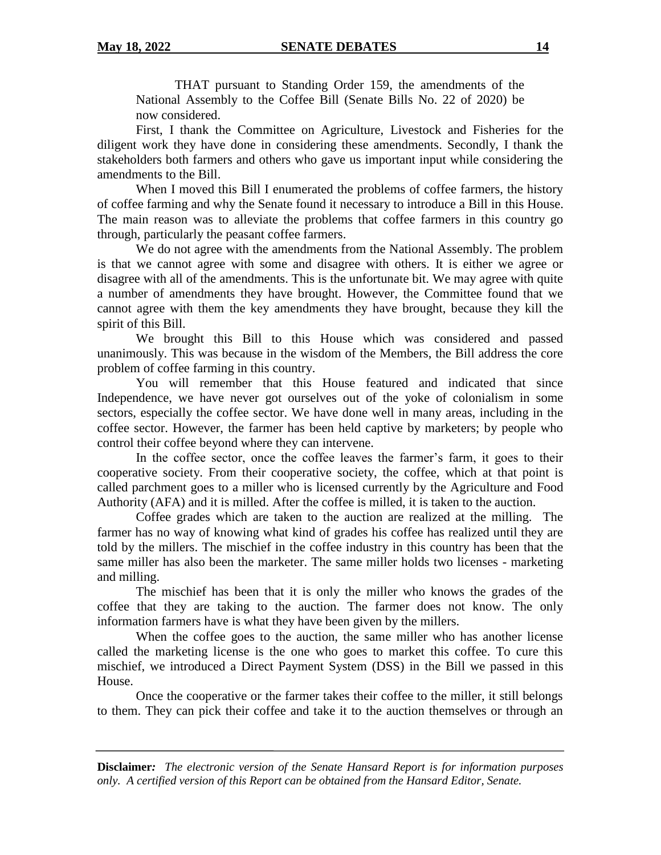THAT pursuant to Standing Order 159, the amendments of the National Assembly to the Coffee Bill (Senate Bills No. 22 of 2020) be now considered.

First, I thank the Committee on Agriculture, Livestock and Fisheries for the diligent work they have done in considering these amendments. Secondly, I thank the stakeholders both farmers and others who gave us important input while considering the amendments to the Bill.

When I moved this Bill I enumerated the problems of coffee farmers, the history of coffee farming and why the Senate found it necessary to introduce a Bill in this House. The main reason was to alleviate the problems that coffee farmers in this country go through, particularly the peasant coffee farmers.

We do not agree with the amendments from the National Assembly. The problem is that we cannot agree with some and disagree with others. It is either we agree or disagree with all of the amendments. This is the unfortunate bit. We may agree with quite a number of amendments they have brought. However, the Committee found that we cannot agree with them the key amendments they have brought, because they kill the spirit of this Bill.

We brought this Bill to this House which was considered and passed unanimously. This was because in the wisdom of the Members, the Bill address the core problem of coffee farming in this country.

You will remember that this House featured and indicated that since Independence, we have never got ourselves out of the yoke of colonialism in some sectors, especially the coffee sector. We have done well in many areas, including in the coffee sector. However, the farmer has been held captive by marketers; by people who control their coffee beyond where they can intervene.

In the coffee sector, once the coffee leaves the farmer's farm, it goes to their cooperative society. From their cooperative society, the coffee, which at that point is called parchment goes to a miller who is licensed currently by the Agriculture and Food Authority (AFA) and it is milled. After the coffee is milled, it is taken to the auction.

Coffee grades which are taken to the auction are realized at the milling. The farmer has no way of knowing what kind of grades his coffee has realized until they are told by the millers. The mischief in the coffee industry in this country has been that the same miller has also been the marketer. The same miller holds two licenses - marketing and milling.

The mischief has been that it is only the miller who knows the grades of the coffee that they are taking to the auction. The farmer does not know. The only information farmers have is what they have been given by the millers.

When the coffee goes to the auction, the same miller who has another license called the marketing license is the one who goes to market this coffee. To cure this mischief, we introduced a Direct Payment System (DSS) in the Bill we passed in this House.

Once the cooperative or the farmer takes their coffee to the miller, it still belongs to them. They can pick their coffee and take it to the auction themselves or through an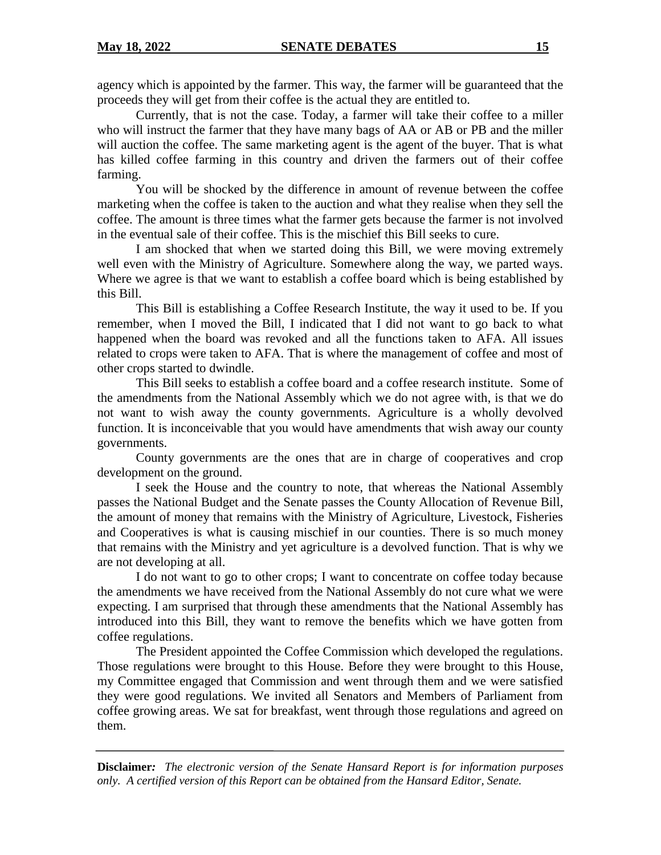agency which is appointed by the farmer. This way, the farmer will be guaranteed that the proceeds they will get from their coffee is the actual they are entitled to.

Currently, that is not the case. Today, a farmer will take their coffee to a miller who will instruct the farmer that they have many bags of AA or AB or PB and the miller will auction the coffee. The same marketing agent is the agent of the buyer. That is what has killed coffee farming in this country and driven the farmers out of their coffee farming.

You will be shocked by the difference in amount of revenue between the coffee marketing when the coffee is taken to the auction and what they realise when they sell the coffee. The amount is three times what the farmer gets because the farmer is not involved in the eventual sale of their coffee. This is the mischief this Bill seeks to cure.

I am shocked that when we started doing this Bill, we were moving extremely well even with the Ministry of Agriculture. Somewhere along the way, we parted ways. Where we agree is that we want to establish a coffee board which is being established by this Bill.

This Bill is establishing a Coffee Research Institute, the way it used to be. If you remember, when I moved the Bill, I indicated that I did not want to go back to what happened when the board was revoked and all the functions taken to AFA. All issues related to crops were taken to AFA. That is where the management of coffee and most of other crops started to dwindle.

This Bill seeks to establish a coffee board and a coffee research institute. Some of the amendments from the National Assembly which we do not agree with, is that we do not want to wish away the county governments. Agriculture is a wholly devolved function. It is inconceivable that you would have amendments that wish away our county governments.

County governments are the ones that are in charge of cooperatives and crop development on the ground.

I seek the House and the country to note, that whereas the National Assembly passes the National Budget and the Senate passes the County Allocation of Revenue Bill, the amount of money that remains with the Ministry of Agriculture, Livestock, Fisheries and Cooperatives is what is causing mischief in our counties. There is so much money that remains with the Ministry and yet agriculture is a devolved function. That is why we are not developing at all.

I do not want to go to other crops; I want to concentrate on coffee today because the amendments we have received from the National Assembly do not cure what we were expecting. I am surprised that through these amendments that the National Assembly has introduced into this Bill, they want to remove the benefits which we have gotten from coffee regulations.

The President appointed the Coffee Commission which developed the regulations. Those regulations were brought to this House. Before they were brought to this House, my Committee engaged that Commission and went through them and we were satisfied they were good regulations. We invited all Senators and Members of Parliament from coffee growing areas. We sat for breakfast, went through those regulations and agreed on them.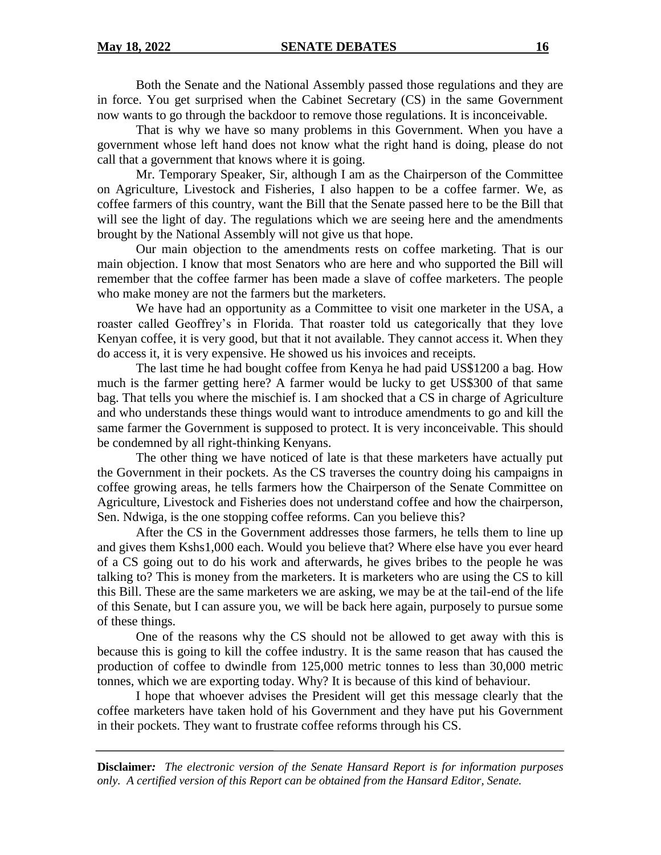Both the Senate and the National Assembly passed those regulations and they are in force. You get surprised when the Cabinet Secretary (CS) in the same Government now wants to go through the backdoor to remove those regulations. It is inconceivable.

That is why we have so many problems in this Government. When you have a government whose left hand does not know what the right hand is doing, please do not call that a government that knows where it is going.

Mr. Temporary Speaker, Sir, although I am as the Chairperson of the Committee on Agriculture, Livestock and Fisheries, I also happen to be a coffee farmer. We, as coffee farmers of this country, want the Bill that the Senate passed here to be the Bill that will see the light of day. The regulations which we are seeing here and the amendments brought by the National Assembly will not give us that hope.

Our main objection to the amendments rests on coffee marketing. That is our main objection. I know that most Senators who are here and who supported the Bill will remember that the coffee farmer has been made a slave of coffee marketers. The people who make money are not the farmers but the marketers.

We have had an opportunity as a Committee to visit one marketer in the USA, a roaster called Geoffrey's in Florida. That roaster told us categorically that they love Kenyan coffee, it is very good, but that it not available. They cannot access it. When they do access it, it is very expensive. He showed us his invoices and receipts.

The last time he had bought coffee from Kenya he had paid US\$1200 a bag. How much is the farmer getting here? A farmer would be lucky to get US\$300 of that same bag. That tells you where the mischief is. I am shocked that a CS in charge of Agriculture and who understands these things would want to introduce amendments to go and kill the same farmer the Government is supposed to protect. It is very inconceivable. This should be condemned by all right-thinking Kenyans.

The other thing we have noticed of late is that these marketers have actually put the Government in their pockets. As the CS traverses the country doing his campaigns in coffee growing areas, he tells farmers how the Chairperson of the Senate Committee on Agriculture, Livestock and Fisheries does not understand coffee and how the chairperson, Sen. Ndwiga, is the one stopping coffee reforms. Can you believe this?

After the CS in the Government addresses those farmers, he tells them to line up and gives them Kshs1,000 each. Would you believe that? Where else have you ever heard of a CS going out to do his work and afterwards, he gives bribes to the people he was talking to? This is money from the marketers. It is marketers who are using the CS to kill this Bill. These are the same marketers we are asking, we may be at the tail-end of the life of this Senate, but I can assure you, we will be back here again, purposely to pursue some of these things.

One of the reasons why the CS should not be allowed to get away with this is because this is going to kill the coffee industry. It is the same reason that has caused the production of coffee to dwindle from 125,000 metric tonnes to less than 30,000 metric tonnes, which we are exporting today. Why? It is because of this kind of behaviour.

I hope that whoever advises the President will get this message clearly that the coffee marketers have taken hold of his Government and they have put his Government in their pockets. They want to frustrate coffee reforms through his CS.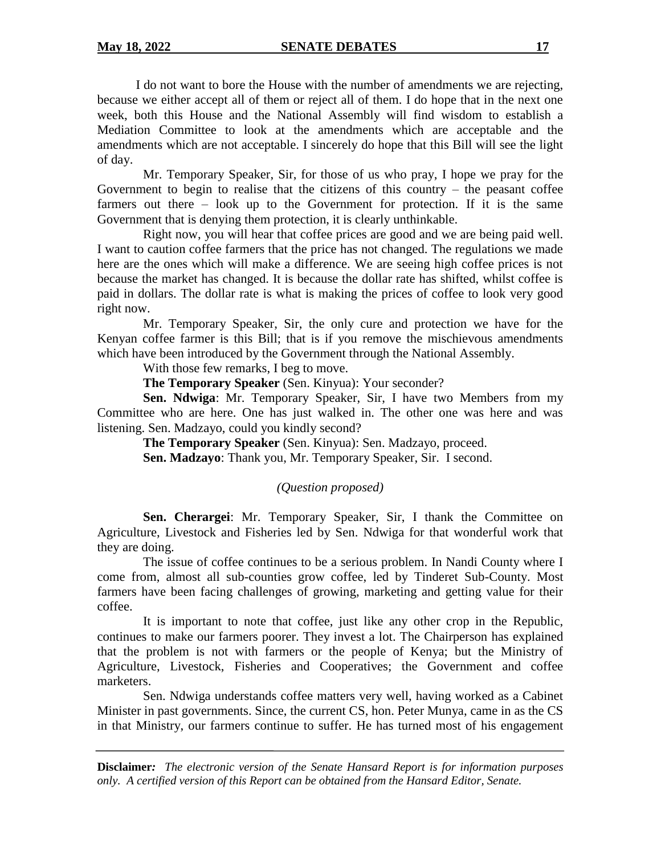I do not want to bore the House with the number of amendments we are rejecting, because we either accept all of them or reject all of them. I do hope that in the next one week, both this House and the National Assembly will find wisdom to establish a Mediation Committee to look at the amendments which are acceptable and the amendments which are not acceptable. I sincerely do hope that this Bill will see the light of day.

Mr. Temporary Speaker, Sir, for those of us who pray, I hope we pray for the Government to begin to realise that the citizens of this country  $-$  the peasant coffee farmers out there – look up to the Government for protection. If it is the same Government that is denying them protection, it is clearly unthinkable.

Right now, you will hear that coffee prices are good and we are being paid well. I want to caution coffee farmers that the price has not changed. The regulations we made here are the ones which will make a difference. We are seeing high coffee prices is not because the market has changed. It is because the dollar rate has shifted, whilst coffee is paid in dollars. The dollar rate is what is making the prices of coffee to look very good right now.

Mr. Temporary Speaker, Sir, the only cure and protection we have for the Kenyan coffee farmer is this Bill; that is if you remove the mischievous amendments which have been introduced by the Government through the National Assembly.

With those few remarks, I beg to move.

**The Temporary Speaker** (Sen. Kinyua): Your seconder?

**Sen. Ndwiga**: Mr. Temporary Speaker, Sir, I have two Members from my Committee who are here. One has just walked in. The other one was here and was listening. Sen. Madzayo, could you kindly second?

**The Temporary Speaker** (Sen. Kinyua): Sen. Madzayo, proceed. **Sen. Madzayo**: Thank you, Mr. Temporary Speaker, Sir. I second.

# *(Question proposed)*

**Sen. Cherargei**: Mr. Temporary Speaker, Sir, I thank the Committee on Agriculture, Livestock and Fisheries led by Sen. Ndwiga for that wonderful work that they are doing.

The issue of coffee continues to be a serious problem. In Nandi County where I come from, almost all sub-counties grow coffee, led by Tinderet Sub-County. Most farmers have been facing challenges of growing, marketing and getting value for their coffee.

It is important to note that coffee, just like any other crop in the Republic, continues to make our farmers poorer. They invest a lot. The Chairperson has explained that the problem is not with farmers or the people of Kenya; but the Ministry of Agriculture, Livestock, Fisheries and Cooperatives; the Government and coffee marketers.

Sen. Ndwiga understands coffee matters very well, having worked as a Cabinet Minister in past governments. Since, the current CS, hon. Peter Munya, came in as the CS in that Ministry, our farmers continue to suffer. He has turned most of his engagement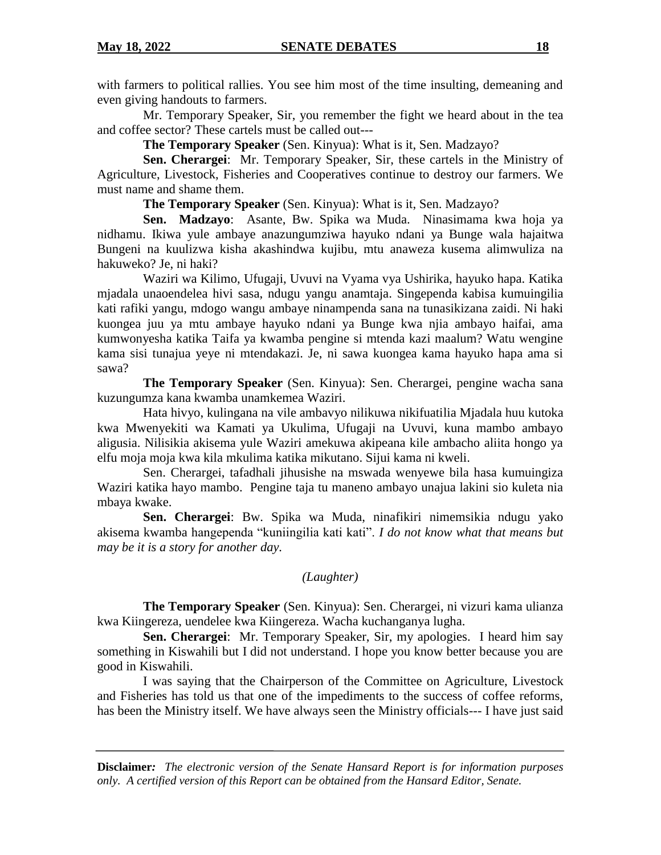with farmers to political rallies. You see him most of the time insulting, demeaning and even giving handouts to farmers.

Mr. Temporary Speaker, Sir, you remember the fight we heard about in the tea and coffee sector? These cartels must be called out---

**The Temporary Speaker** (Sen. Kinyua): What is it, Sen. Madzayo?

**Sen. Cherargei**: Mr. Temporary Speaker, Sir, these cartels in the Ministry of Agriculture, Livestock, Fisheries and Cooperatives continue to destroy our farmers. We must name and shame them.

**The Temporary Speaker** (Sen. Kinyua): What is it, Sen. Madzayo?

**Sen. Madzayo**: Asante, Bw. Spika wa Muda. Ninasimama kwa hoja ya nidhamu. Ikiwa yule ambaye anazungumziwa hayuko ndani ya Bunge wala hajaitwa Bungeni na kuulizwa kisha akashindwa kujibu, mtu anaweza kusema alimwuliza na hakuweko? Je, ni haki?

Waziri wa Kilimo, Ufugaji, Uvuvi na Vyama vya Ushirika, hayuko hapa. Katika mjadala unaoendelea hivi sasa, ndugu yangu anamtaja. Singependa kabisa kumuingilia kati rafiki yangu, mdogo wangu ambaye ninampenda sana na tunasikizana zaidi. Ni haki kuongea juu ya mtu ambaye hayuko ndani ya Bunge kwa njia ambayo haifai, ama kumwonyesha katika Taifa ya kwamba pengine si mtenda kazi maalum? Watu wengine kama sisi tunajua yeye ni mtendakazi. Je, ni sawa kuongea kama hayuko hapa ama si sawa?

**The Temporary Speaker** (Sen. Kinyua): Sen. Cherargei, pengine wacha sana kuzungumza kana kwamba unamkemea Waziri.

Hata hivyo, kulingana na vile ambavyo nilikuwa nikifuatilia Mjadala huu kutoka kwa Mwenyekiti wa Kamati ya Ukulima, Ufugaji na Uvuvi, kuna mambo ambayo aligusia. Nilisikia akisema yule Waziri amekuwa akipeana kile ambacho aliita hongo ya elfu moja moja kwa kila mkulima katika mikutano. Sijui kama ni kweli.

Sen. Cherargei, tafadhali jihusishe na mswada wenyewe bila hasa kumuingiza Waziri katika hayo mambo. Pengine taja tu maneno ambayo unajua lakini sio kuleta nia mbaya kwake.

**Sen. Cherargei**: Bw. Spika wa Muda, ninafikiri nimemsikia ndugu yako akisema kwamba hangependa "kuniingilia kati kati". *I do not know what that means but may be it is a story for another day.* 

# *(Laughter)*

**The Temporary Speaker** (Sen. Kinyua): Sen. Cherargei, ni vizuri kama ulianza kwa Kiingereza, uendelee kwa Kiingereza. Wacha kuchanganya lugha.

**Sen. Cherargei**: Mr. Temporary Speaker, Sir, my apologies. I heard him say something in Kiswahili but I did not understand. I hope you know better because you are good in Kiswahili.

I was saying that the Chairperson of the Committee on Agriculture, Livestock and Fisheries has told us that one of the impediments to the success of coffee reforms, has been the Ministry itself. We have always seen the Ministry officials--- I have just said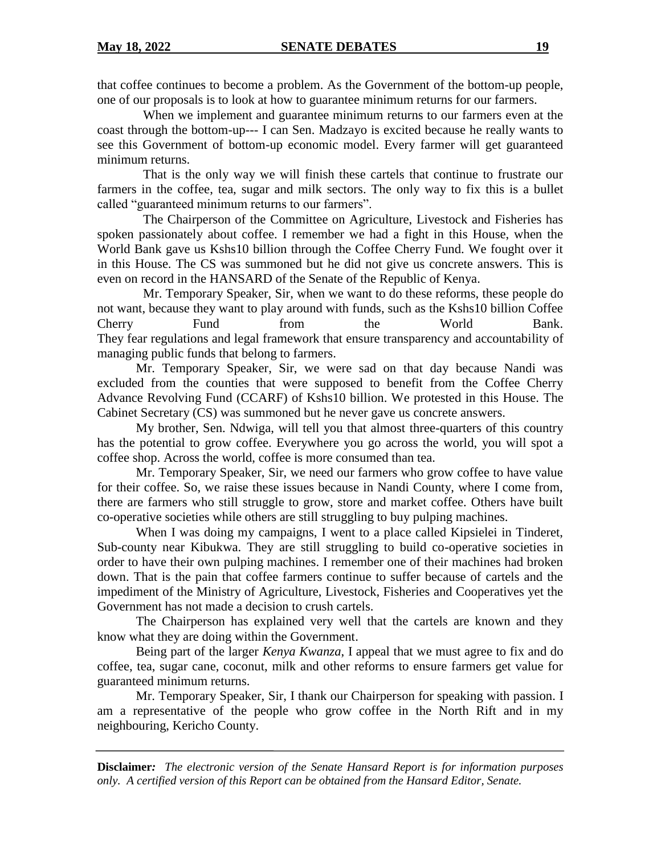that coffee continues to become a problem. As the Government of the bottom-up people, one of our proposals is to look at how to guarantee minimum returns for our farmers.

When we implement and guarantee minimum returns to our farmers even at the coast through the bottom-up--- I can Sen. Madzayo is excited because he really wants to see this Government of bottom-up economic model. Every farmer will get guaranteed minimum returns.

That is the only way we will finish these cartels that continue to frustrate our farmers in the coffee, tea, sugar and milk sectors. The only way to fix this is a bullet called "guaranteed minimum returns to our farmers".

The Chairperson of the Committee on Agriculture, Livestock and Fisheries has spoken passionately about coffee. I remember we had a fight in this House, when the World Bank gave us Kshs10 billion through the Coffee Cherry Fund. We fought over it in this House. The CS was summoned but he did not give us concrete answers. This is even on record in the HANSARD of the Senate of the Republic of Kenya.

Mr. Temporary Speaker, Sir, when we want to do these reforms, these people do not want, because they want to play around with funds, such as the Kshs10 billion Coffee Cherry Fund from the World Bank. They fear regulations and legal framework that ensure transparency and accountability of managing public funds that belong to farmers.

Mr. Temporary Speaker, Sir, we were sad on that day because Nandi was excluded from the counties that were supposed to benefit from the Coffee Cherry Advance Revolving Fund (CCARF) of Kshs10 billion. We protested in this House. The Cabinet Secretary (CS) was summoned but he never gave us concrete answers.

My brother, Sen. Ndwiga, will tell you that almost three-quarters of this country has the potential to grow coffee. Everywhere you go across the world, you will spot a coffee shop. Across the world, coffee is more consumed than tea.

Mr. Temporary Speaker, Sir, we need our farmers who grow coffee to have value for their coffee. So, we raise these issues because in Nandi County, where I come from, there are farmers who still struggle to grow, store and market coffee. Others have built co-operative societies while others are still struggling to buy pulping machines.

When I was doing my campaigns, I went to a place called Kipsielei in Tinderet, Sub-county near Kibukwa. They are still struggling to build co-operative societies in order to have their own pulping machines. I remember one of their machines had broken down. That is the pain that coffee farmers continue to suffer because of cartels and the impediment of the Ministry of Agriculture, Livestock, Fisheries and Cooperatives yet the Government has not made a decision to crush cartels.

The Chairperson has explained very well that the cartels are known and they know what they are doing within the Government.

Being part of the larger *Kenya Kwanza*, I appeal that we must agree to fix and do coffee, tea, sugar cane, coconut, milk and other reforms to ensure farmers get value for guaranteed minimum returns.

Mr. Temporary Speaker, Sir, I thank our Chairperson for speaking with passion. I am a representative of the people who grow coffee in the North Rift and in my neighbouring, Kericho County.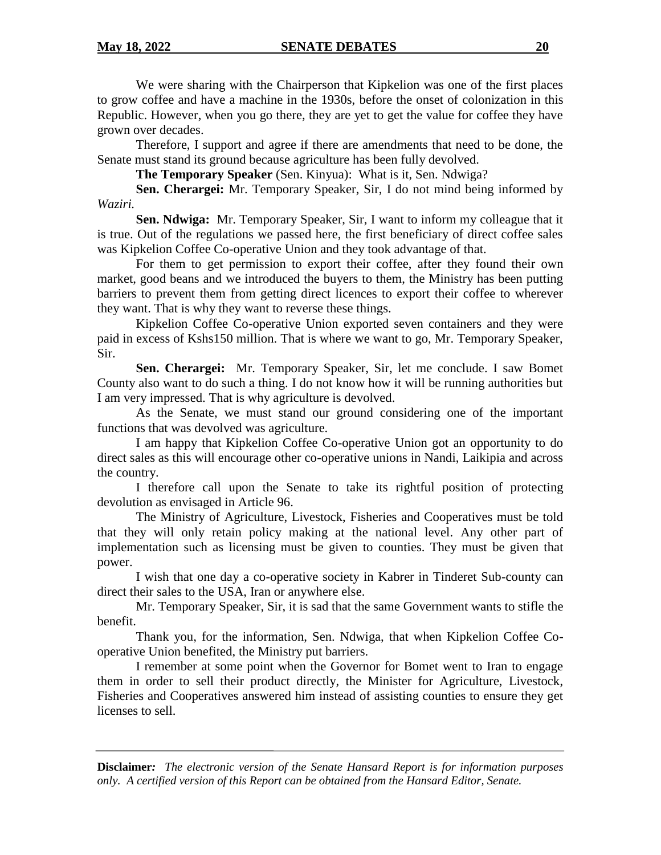We were sharing with the Chairperson that Kipkelion was one of the first places to grow coffee and have a machine in the 1930s, before the onset of colonization in this Republic. However, when you go there, they are yet to get the value for coffee they have grown over decades.

Therefore, I support and agree if there are amendments that need to be done, the Senate must stand its ground because agriculture has been fully devolved.

**The Temporary Speaker** (Sen. Kinyua): What is it, Sen. Ndwiga?

**Sen. Cherargei:** Mr. Temporary Speaker, Sir, I do not mind being informed by *Waziri.*

**Sen. Ndwiga:** Mr. Temporary Speaker, Sir, I want to inform my colleague that it is true. Out of the regulations we passed here, the first beneficiary of direct coffee sales was Kipkelion Coffee Co-operative Union and they took advantage of that.

For them to get permission to export their coffee, after they found their own market, good beans and we introduced the buyers to them, the Ministry has been putting barriers to prevent them from getting direct licences to export their coffee to wherever they want. That is why they want to reverse these things.

Kipkelion Coffee Co-operative Union exported seven containers and they were paid in excess of Kshs150 million. That is where we want to go, Mr. Temporary Speaker, Sir.

**Sen. Cherargei:** Mr. Temporary Speaker, Sir, let me conclude. I saw Bomet County also want to do such a thing. I do not know how it will be running authorities but I am very impressed. That is why agriculture is devolved.

As the Senate, we must stand our ground considering one of the important functions that was devolved was agriculture.

I am happy that Kipkelion Coffee Co-operative Union got an opportunity to do direct sales as this will encourage other co-operative unions in Nandi, Laikipia and across the country.

I therefore call upon the Senate to take its rightful position of protecting devolution as envisaged in Article 96.

The Ministry of Agriculture, Livestock, Fisheries and Cooperatives must be told that they will only retain policy making at the national level. Any other part of implementation such as licensing must be given to counties. They must be given that power.

I wish that one day a co-operative society in Kabrer in Tinderet Sub-county can direct their sales to the USA, Iran or anywhere else.

Mr. Temporary Speaker, Sir, it is sad that the same Government wants to stifle the benefit.

Thank you, for the information, Sen. Ndwiga, that when Kipkelion Coffee Cooperative Union benefited, the Ministry put barriers.

I remember at some point when the Governor for Bomet went to Iran to engage them in order to sell their product directly, the Minister for Agriculture, Livestock, Fisheries and Cooperatives answered him instead of assisting counties to ensure they get licenses to sell.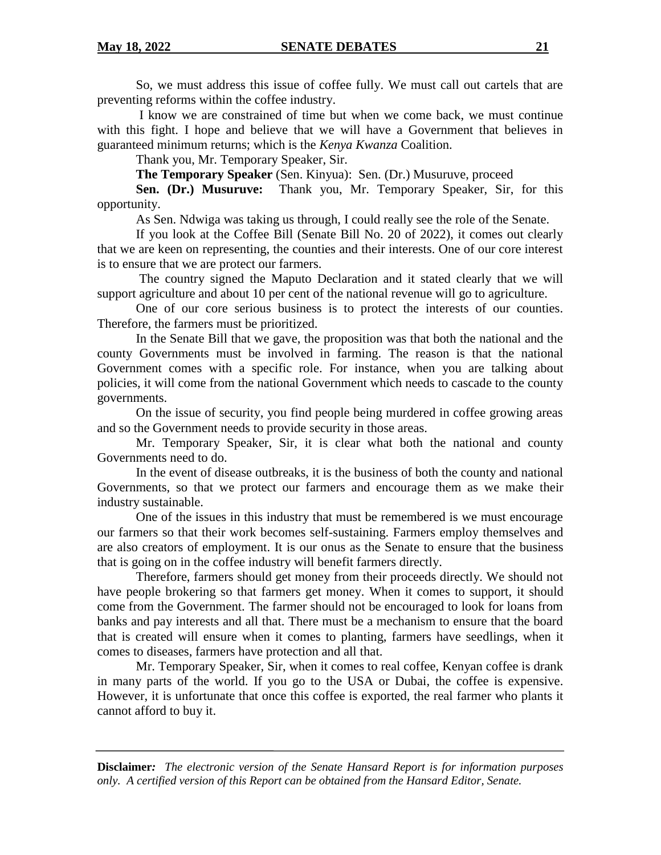So, we must address this issue of coffee fully. We must call out cartels that are preventing reforms within the coffee industry.

I know we are constrained of time but when we come back, we must continue with this fight. I hope and believe that we will have a Government that believes in guaranteed minimum returns; which is the *Kenya Kwanza* Coalition.

Thank you, Mr. Temporary Speaker, Sir.

**The Temporary Speaker** (Sen. Kinyua): Sen. (Dr.) Musuruve, proceed

**Sen. (Dr.) Musuruve:** Thank you, Mr. Temporary Speaker, Sir, for this opportunity.

As Sen. Ndwiga was taking us through, I could really see the role of the Senate.

If you look at the Coffee Bill (Senate Bill No. 20 of 2022), it comes out clearly that we are keen on representing, the counties and their interests. One of our core interest is to ensure that we are protect our farmers.

The country signed the Maputo Declaration and it stated clearly that we will support agriculture and about 10 per cent of the national revenue will go to agriculture.

One of our core serious business is to protect the interests of our counties. Therefore, the farmers must be prioritized.

In the Senate Bill that we gave, the proposition was that both the national and the county Governments must be involved in farming. The reason is that the national Government comes with a specific role. For instance, when you are talking about policies, it will come from the national Government which needs to cascade to the county governments.

On the issue of security, you find people being murdered in coffee growing areas and so the Government needs to provide security in those areas.

Mr. Temporary Speaker, Sir, it is clear what both the national and county Governments need to do.

In the event of disease outbreaks, it is the business of both the county and national Governments, so that we protect our farmers and encourage them as we make their industry sustainable.

One of the issues in this industry that must be remembered is we must encourage our farmers so that their work becomes self-sustaining. Farmers employ themselves and are also creators of employment. It is our onus as the Senate to ensure that the business that is going on in the coffee industry will benefit farmers directly.

Therefore, farmers should get money from their proceeds directly. We should not have people brokering so that farmers get money. When it comes to support, it should come from the Government. The farmer should not be encouraged to look for loans from banks and pay interests and all that. There must be a mechanism to ensure that the board that is created will ensure when it comes to planting, farmers have seedlings, when it comes to diseases, farmers have protection and all that.

Mr. Temporary Speaker, Sir, when it comes to real coffee, Kenyan coffee is drank in many parts of the world. If you go to the USA or Dubai, the coffee is expensive. However, it is unfortunate that once this coffee is exported, the real farmer who plants it cannot afford to buy it.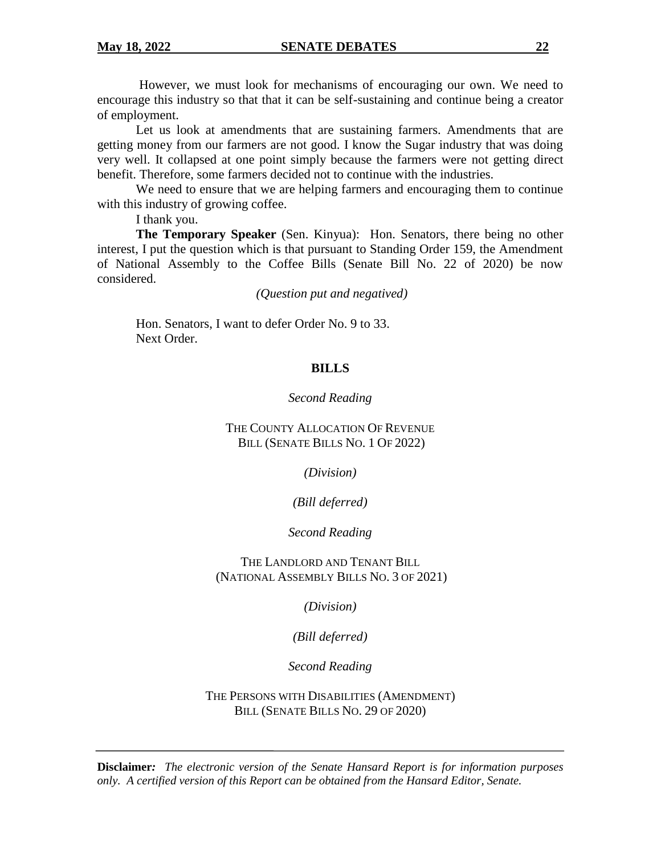However, we must look for mechanisms of encouraging our own. We need to encourage this industry so that that it can be self-sustaining and continue being a creator of employment.

 Let us look at amendments that are sustaining farmers. Amendments that are getting money from our farmers are not good. I know the Sugar industry that was doing very well. It collapsed at one point simply because the farmers were not getting direct benefit. Therefore, some farmers decided not to continue with the industries.

We need to ensure that we are helping farmers and encouraging them to continue with this industry of growing coffee.

I thank you.

**The Temporary Speaker** (Sen. Kinyua): Hon. Senators, there being no other interest, I put the question which is that pursuant to Standing Order 159, the Amendment of National Assembly to the Coffee Bills (Senate Bill No. 22 of 2020) be now considered.

*(Question put and negatived)*

Hon. Senators, I want to defer Order No. 9 to 33. Next Order.

### **BILLS**

### *Second Reading*

### THE COUNTY ALLOCATION OF REVENUE BILL (SENATE BILLS NO. 1 OF 2022)

*(Division)*

# *(Bill deferred)*

### *Second Reading*

THE LANDLORD AND TENANT BILL (NATIONAL ASSEMBLY BILLS NO. 3 OF 2021)

*(Division)*

*(Bill deferred)*

*Second Reading*

THE PERSONS WITH DISABILITIES (AMENDMENT) BILL (SENATE BILLS NO. 29 OF 2020)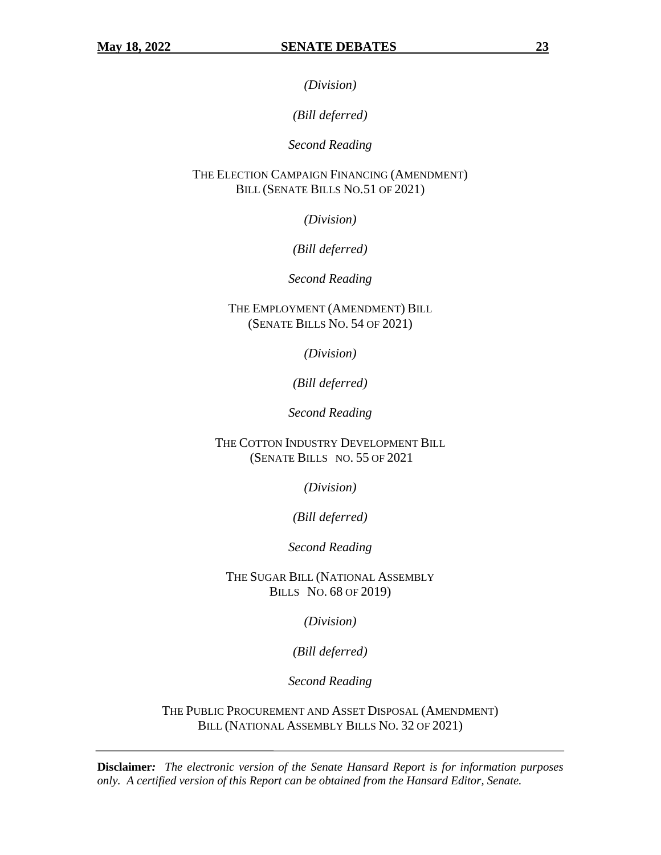*(Division)*

*(Bill deferred)*

*Second Reading*

THE ELECTION CAMPAIGN FINANCING (AMENDMENT) BILL (SENATE BILLS NO.51 OF 2021)

*(Division)*

*(Bill deferred)*

*Second Reading*

THE EMPLOYMENT (AMENDMENT) BILL (SENATE BILLS NO. 54 OF 2021)

*(Division)*

*(Bill deferred)*

*Second Reading*

THE COTTON INDUSTRY DEVELOPMENT BILL (SENATE BILLS NO. 55 OF 2021

*(Division)*

*(Bill deferred)*

*Second Reading*

THE SUGAR BILL (NATIONAL ASSEMBLY BILLS NO. 68 OF 2019)

*(Division)*

*(Bill deferred)*

*Second Reading*

THE PUBLIC PROCUREMENT AND ASSET DISPOSAL (AMENDMENT) BILL (NATIONAL ASSEMBLY BILLS NO. 32 OF 2021)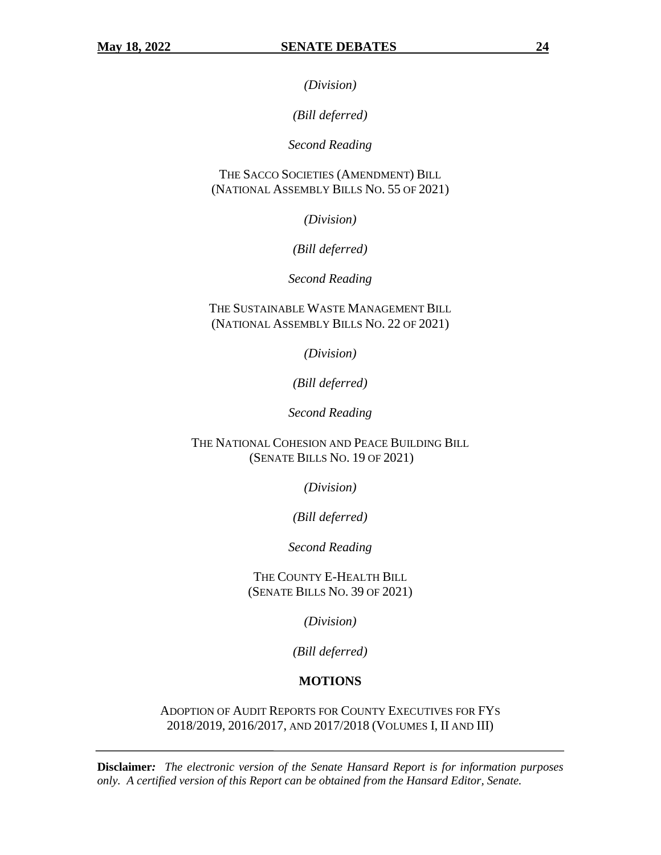*(Division)*

*(Bill deferred)*

*Second Reading*

THE SACCO SOCIETIES (AMENDMENT) BILL (NATIONAL ASSEMBLY BILLS NO. 55 OF 2021)

*(Division)*

*(Bill deferred)*

*Second Reading*

THE SUSTAINABLE WASTE MANAGEMENT BILL (NATIONAL ASSEMBLY BILLS NO. 22 OF 2021)

*(Division)*

*(Bill deferred)*

*Second Reading*

THE NATIONAL COHESION AND PEACE BUILDING BILL (SENATE BILLS NO. 19 OF 2021)

*(Division)*

*(Bill deferred)*

*Second Reading*

THE COUNTY E-HEALTH BILL (SENATE BILLS NO. 39 OF 2021)

*(Division)*

*(Bill deferred)*

# **MOTIONS**

ADOPTION OF AUDIT REPORTS FOR COUNTY EXECUTIVES FOR FYS 2018/2019, 2016/2017, AND 2017/2018 (VOLUMES I, II AND III)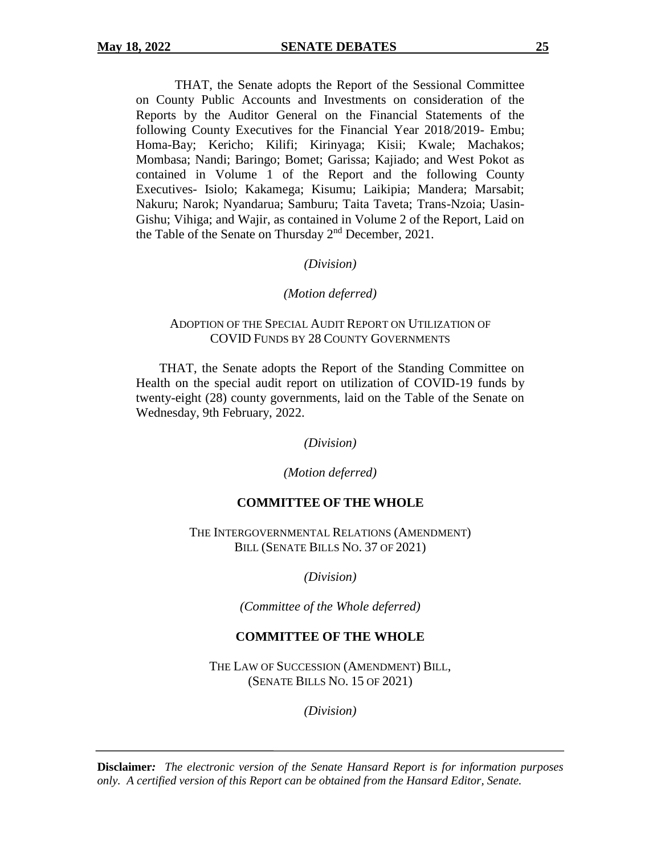THAT, the Senate adopts the Report of the Sessional Committee on County Public Accounts and Investments on consideration of the Reports by the Auditor General on the Financial Statements of the following County Executives for the Financial Year 2018/2019- Embu; Homa-Bay; Kericho; Kilifi; Kirinyaga; Kisii; Kwale; Machakos; Mombasa; Nandi; Baringo; Bomet; Garissa; Kajiado; and West Pokot as contained in Volume 1 of the Report and the following County Executives- Isiolo; Kakamega; Kisumu; Laikipia; Mandera; Marsabit; Nakuru; Narok; Nyandarua; Samburu; Taita Taveta; Trans-Nzoia; Uasin-Gishu; Vihiga; and Wajir, as contained in Volume 2 of the Report, Laid on the Table of the Senate on Thursday 2nd December, 2021.

### *(Division)*

#### *(Motion deferred)*

### ADOPTION OF THE SPECIAL AUDIT REPORT ON UTILIZATION OF COVID FUNDS BY 28 COUNTY GOVERNMENTS

THAT, the Senate adopts the Report of the Standing Committee on Health on the special audit report on utilization of COVID-19 funds by twenty-eight (28) county governments, laid on the Table of the Senate on Wednesday, 9th February, 2022.

*(Division)*

*(Motion deferred)*

# **COMMITTEE OF THE WHOLE**

THE INTERGOVERNMENTAL RELATIONS (AMENDMENT) BILL (SENATE BILLS NO. 37 OF 2021)

*(Division)*

*(Committee of the Whole deferred)*

# **COMMITTEE OF THE WHOLE**

THE LAW OF SUCCESSION (AMENDMENT) BILL, (SENATE BILLS NO. 15 OF 2021)

*(Division)*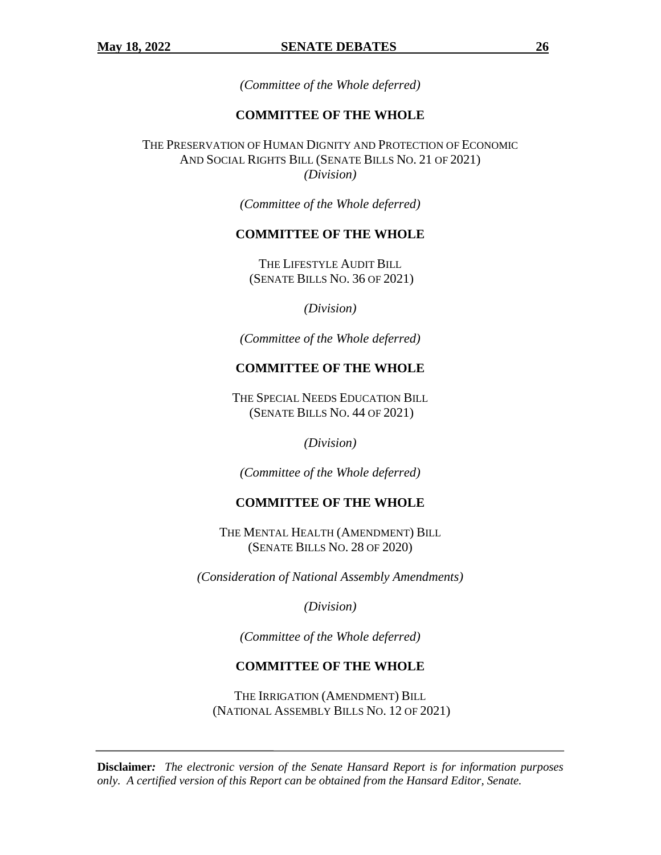*(Committee of the Whole deferred)*

# **COMMITTEE OF THE WHOLE**

THE PRESERVATION OF HUMAN DIGNITY AND PROTECTION OF ECONOMIC AND SOCIAL RIGHTS BILL (SENATE BILLS NO. 21 OF 2021) *(Division)*

*(Committee of the Whole deferred)*

### **COMMITTEE OF THE WHOLE**

THE LIFESTYLE AUDIT BILL (SENATE BILLS NO. 36 OF 2021)

*(Division)*

*(Committee of the Whole deferred)*

# **COMMITTEE OF THE WHOLE**

THE SPECIAL NEEDS EDUCATION BILL (SENATE BILLS NO. 44 OF 2021)

*(Division)*

*(Committee of the Whole deferred)*

### **COMMITTEE OF THE WHOLE**

THE MENTAL HEALTH (AMENDMENT) BILL (SENATE BILLS NO. 28 OF 2020)

*(Consideration of National Assembly Amendments)*

*(Division)*

*(Committee of the Whole deferred)*

# **COMMITTEE OF THE WHOLE**

THE IRRIGATION (AMENDMENT) BILL (NATIONAL ASSEMBLY BILLS NO. 12 OF 2021)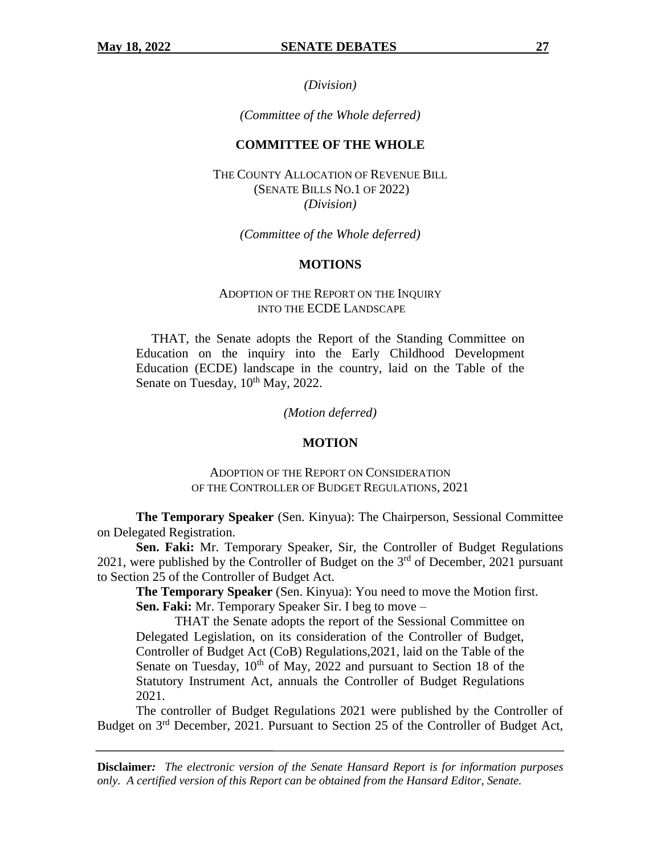*(Division)*

*(Committee of the Whole deferred)*

### **COMMITTEE OF THE WHOLE**

THE COUNTY ALLOCATION OF REVENUE BILL (SENATE BILLS NO.1 OF 2022) *(Division)*

*(Committee of the Whole deferred)*

#### **MOTIONS**

### ADOPTION OF THE REPORT ON THE INQUIRY INTO THE ECDE LANDSCAPE

THAT, the Senate adopts the Report of the Standing Committee on Education on the inquiry into the Early Childhood Development Education (ECDE) landscape in the country, laid on the Table of the Senate on Tuesday,  $10^{th}$  May, 2022.

*(Motion deferred)*

#### **MOTION**

#### ADOPTION OF THE REPORT ON CONSIDERATION OF THE CONTROLLER OF BUDGET REGULATIONS, 2021

**The Temporary Speaker** (Sen. Kinyua): The Chairperson, Sessional Committee on Delegated Registration.

**Sen. Faki:** Mr. Temporary Speaker, Sir, the Controller of Budget Regulations 2021, were published by the Controller of Budget on the 3<sup>rd</sup> of December, 2021 pursuant to Section 25 of the Controller of Budget Act.

**The Temporary Speaker** (Sen. Kinyua): You need to move the Motion first. **Sen. Faki:** Mr. Temporary Speaker Sir. I beg to move –

THAT the Senate adopts the report of the Sessional Committee on Delegated Legislation, on its consideration of the Controller of Budget, Controller of Budget Act (CoB) Regulations,2021, laid on the Table of the Senate on Tuesday,  $10^{th}$  of May, 2022 and pursuant to Section 18 of the Statutory Instrument Act, annuals the Controller of Budget Regulations 2021.

The controller of Budget Regulations 2021 were published by the Controller of Budget on 3<sup>rd</sup> December, 2021. Pursuant to Section 25 of the Controller of Budget Act,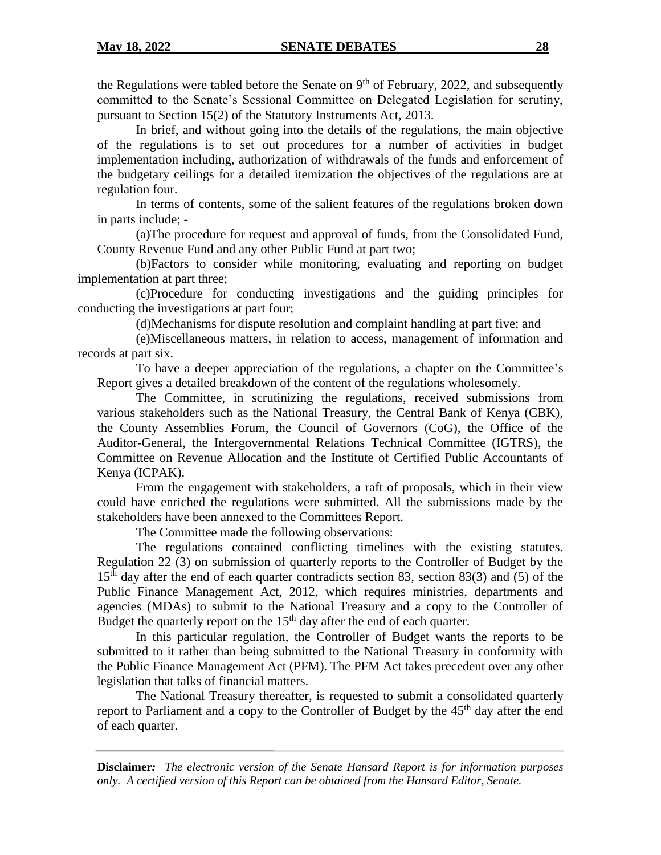the Regulations were tabled before the Senate on  $9<sup>th</sup>$  of February, 2022, and subsequently committed to the Senate's Sessional Committee on Delegated Legislation for scrutiny, pursuant to Section 15(2) of the Statutory Instruments Act, 2013.

In brief, and without going into the details of the regulations, the main objective of the regulations is to set out procedures for a number of activities in budget implementation including, authorization of withdrawals of the funds and enforcement of the budgetary ceilings for a detailed itemization the objectives of the regulations are at regulation four.

In terms of contents, some of the salient features of the regulations broken down in parts include; -

(a)The procedure for request and approval of funds, from the Consolidated Fund, County Revenue Fund and any other Public Fund at part two;

(b)Factors to consider while monitoring, evaluating and reporting on budget implementation at part three;

(c)Procedure for conducting investigations and the guiding principles for conducting the investigations at part four;

(d)Mechanisms for dispute resolution and complaint handling at part five; and

(e)Miscellaneous matters, in relation to access, management of information and records at part six.

To have a deeper appreciation of the regulations, a chapter on the Committee's Report gives a detailed breakdown of the content of the regulations wholesomely.

The Committee, in scrutinizing the regulations, received submissions from various stakeholders such as the National Treasury, the Central Bank of Kenya (CBK), the County Assemblies Forum, the Council of Governors (CoG), the Office of the Auditor-General, the Intergovernmental Relations Technical Committee (IGTRS), the Committee on Revenue Allocation and the Institute of Certified Public Accountants of Kenya (ICPAK).

From the engagement with stakeholders, a raft of proposals, which in their view could have enriched the regulations were submitted. All the submissions made by the stakeholders have been annexed to the Committees Report.

The Committee made the following observations:

The regulations contained conflicting timelines with the existing statutes. Regulation 22 (3) on submission of quarterly reports to the Controller of Budget by the 15<sup>th</sup> day after the end of each quarter contradicts section 83, section 83(3) and (5) of the Public Finance Management Act, 2012, which requires ministries, departments and agencies (MDAs) to submit to the National Treasury and a copy to the Controller of Budget the quarterly report on the  $15<sup>th</sup>$  day after the end of each quarter.

In this particular regulation, the Controller of Budget wants the reports to be submitted to it rather than being submitted to the National Treasury in conformity with the Public Finance Management Act (PFM). The PFM Act takes precedent over any other legislation that talks of financial matters.

The National Treasury thereafter, is requested to submit a consolidated quarterly report to Parliament and a copy to the Controller of Budget by the  $45<sup>th</sup>$  day after the end of each quarter.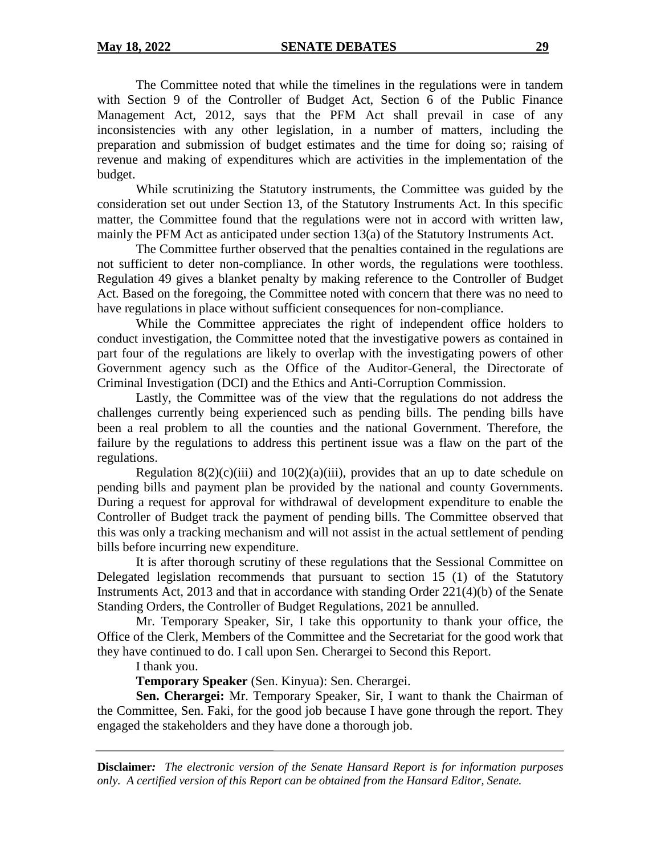The Committee noted that while the timelines in the regulations were in tandem with Section 9 of the Controller of Budget Act, Section 6 of the Public Finance Management Act, 2012, says that the PFM Act shall prevail in case of any inconsistencies with any other legislation, in a number of matters, including the preparation and submission of budget estimates and the time for doing so; raising of revenue and making of expenditures which are activities in the implementation of the budget.

While scrutinizing the Statutory instruments, the Committee was guided by the consideration set out under Section 13, of the Statutory Instruments Act. In this specific matter, the Committee found that the regulations were not in accord with written law, mainly the PFM Act as anticipated under section 13(a) of the Statutory Instruments Act.

The Committee further observed that the penalties contained in the regulations are not sufficient to deter non-compliance. In other words, the regulations were toothless. Regulation 49 gives a blanket penalty by making reference to the Controller of Budget Act. Based on the foregoing, the Committee noted with concern that there was no need to have regulations in place without sufficient consequences for non-compliance.

While the Committee appreciates the right of independent office holders to conduct investigation, the Committee noted that the investigative powers as contained in part four of the regulations are likely to overlap with the investigating powers of other Government agency such as the Office of the Auditor-General, the Directorate of Criminal Investigation (DCI) and the Ethics and Anti-Corruption Commission.

Lastly, the Committee was of the view that the regulations do not address the challenges currently being experienced such as pending bills. The pending bills have been a real problem to all the counties and the national Government. Therefore, the failure by the regulations to address this pertinent issue was a flaw on the part of the regulations.

Regulation  $8(2)(c)(iii)$  and  $10(2)(a)(iii)$ , provides that an up to date schedule on pending bills and payment plan be provided by the national and county Governments. During a request for approval for withdrawal of development expenditure to enable the Controller of Budget track the payment of pending bills. The Committee observed that this was only a tracking mechanism and will not assist in the actual settlement of pending bills before incurring new expenditure.

It is after thorough scrutiny of these regulations that the Sessional Committee on Delegated legislation recommends that pursuant to section 15 (1) of the Statutory Instruments Act, 2013 and that in accordance with standing Order 221(4)(b) of the Senate Standing Orders, the Controller of Budget Regulations, 2021 be annulled.

Mr. Temporary Speaker, Sir, I take this opportunity to thank your office, the Office of the Clerk, Members of the Committee and the Secretariat for the good work that they have continued to do. I call upon Sen. Cherargei to Second this Report.

I thank you.

**Temporary Speaker** (Sen. Kinyua): Sen. Cherargei.

**Sen. Cherargei:** Mr. Temporary Speaker, Sir, I want to thank the Chairman of the Committee, Sen. Faki, for the good job because I have gone through the report. They engaged the stakeholders and they have done a thorough job.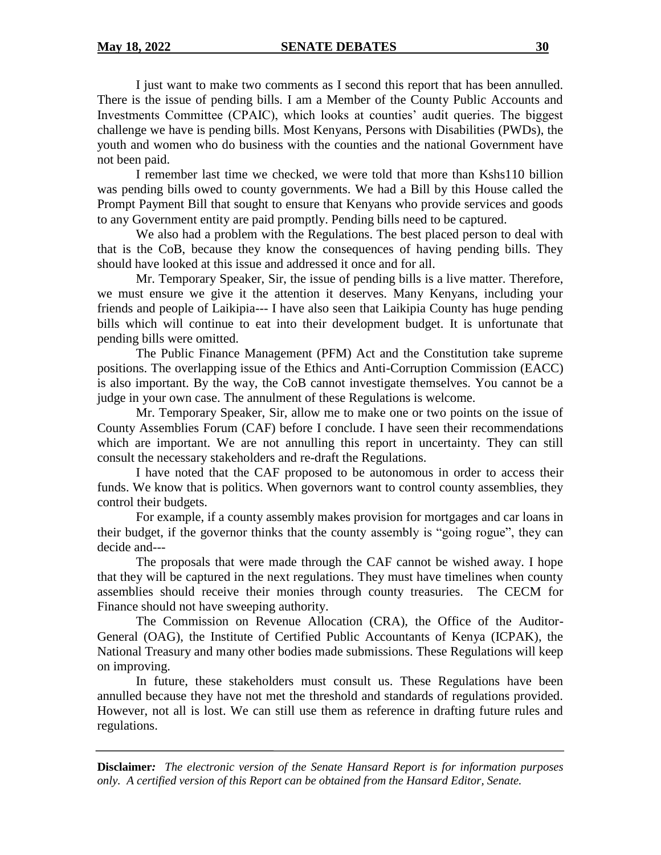I just want to make two comments as I second this report that has been annulled. There is the issue of pending bills. I am a Member of the County Public Accounts and Investments Committee (CPAIC), which looks at counties' audit queries. The biggest challenge we have is pending bills. Most Kenyans, Persons with Disabilities (PWDs), the youth and women who do business with the counties and the national Government have not been paid.

I remember last time we checked, we were told that more than Kshs110 billion was pending bills owed to county governments. We had a Bill by this House called the Prompt Payment Bill that sought to ensure that Kenyans who provide services and goods to any Government entity are paid promptly. Pending bills need to be captured.

We also had a problem with the Regulations. The best placed person to deal with that is the CoB, because they know the consequences of having pending bills. They should have looked at this issue and addressed it once and for all.

Mr. Temporary Speaker, Sir, the issue of pending bills is a live matter. Therefore, we must ensure we give it the attention it deserves. Many Kenyans, including your friends and people of Laikipia--- I have also seen that Laikipia County has huge pending bills which will continue to eat into their development budget. It is unfortunate that pending bills were omitted.

The Public Finance Management (PFM) Act and the Constitution take supreme positions. The overlapping issue of the Ethics and Anti-Corruption Commission (EACC) is also important. By the way, the CoB cannot investigate themselves. You cannot be a judge in your own case. The annulment of these Regulations is welcome.

Mr. Temporary Speaker, Sir, allow me to make one or two points on the issue of County Assemblies Forum (CAF) before I conclude. I have seen their recommendations which are important. We are not annulling this report in uncertainty. They can still consult the necessary stakeholders and re-draft the Regulations.

I have noted that the CAF proposed to be autonomous in order to access their funds. We know that is politics. When governors want to control county assemblies, they control their budgets.

For example, if a county assembly makes provision for mortgages and car loans in their budget, if the governor thinks that the county assembly is "going rogue", they can decide and---

The proposals that were made through the CAF cannot be wished away. I hope that they will be captured in the next regulations. They must have timelines when county assemblies should receive their monies through county treasuries. The CECM for Finance should not have sweeping authority.

The Commission on Revenue Allocation (CRA), the Office of the Auditor-General (OAG), the Institute of Certified Public Accountants of Kenya (ICPAK), the National Treasury and many other bodies made submissions. These Regulations will keep on improving.

In future, these stakeholders must consult us. These Regulations have been annulled because they have not met the threshold and standards of regulations provided. However, not all is lost. We can still use them as reference in drafting future rules and regulations.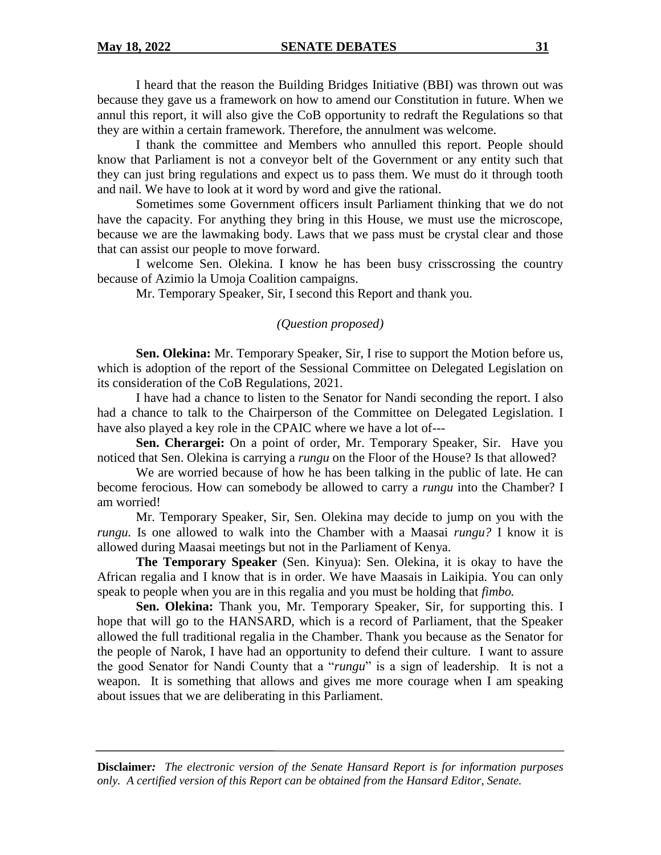I heard that the reason the Building Bridges Initiative (BBI) was thrown out was because they gave us a framework on how to amend our Constitution in future. When we annul this report, it will also give the CoB opportunity to redraft the Regulations so that they are within a certain framework. Therefore, the annulment was welcome.

I thank the committee and Members who annulled this report. People should know that Parliament is not a conveyor belt of the Government or any entity such that they can just bring regulations and expect us to pass them. We must do it through tooth and nail. We have to look at it word by word and give the rational.

Sometimes some Government officers insult Parliament thinking that we do not have the capacity. For anything they bring in this House, we must use the microscope, because we are the lawmaking body. Laws that we pass must be crystal clear and those that can assist our people to move forward.

I welcome Sen. Olekina. I know he has been busy crisscrossing the country because of Azimio la Umoja Coalition campaigns.

Mr. Temporary Speaker, Sir, I second this Report and thank you.

# *(Question proposed)*

**Sen. Olekina:** Mr. Temporary Speaker, Sir, I rise to support the Motion before us, which is adoption of the report of the Sessional Committee on Delegated Legislation on its consideration of the CoB Regulations, 2021.

I have had a chance to listen to the Senator for Nandi seconding the report. I also had a chance to talk to the Chairperson of the Committee on Delegated Legislation. I have also played a key role in the CPAIC where we have a lot of---

**Sen. Cherargei:** On a point of order, Mr. Temporary Speaker, Sir. Have you noticed that Sen. Olekina is carrying a *rungu* on the Floor of the House? Is that allowed?

We are worried because of how he has been talking in the public of late. He can become ferocious. How can somebody be allowed to carry a *rungu* into the Chamber? I am worried!

Mr. Temporary Speaker, Sir, Sen. Olekina may decide to jump on you with the *rungu.* Is one allowed to walk into the Chamber with a Maasai *rungu?* I know it is allowed during Maasai meetings but not in the Parliament of Kenya.

**The Temporary Speaker** (Sen. Kinyua): Sen. Olekina, it is okay to have the African regalia and I know that is in order. We have Maasais in Laikipia. You can only speak to people when you are in this regalia and you must be holding that *fimbo.*

**Sen. Olekina:** Thank you, Mr. Temporary Speaker, Sir, for supporting this. I hope that will go to the HANSARD, which is a record of Parliament, that the Speaker allowed the full traditional regalia in the Chamber. Thank you because as the Senator for the people of Narok, I have had an opportunity to defend their culture. I want to assure the good Senator for Nandi County that a "*rungu*" is a sign of leadership. It is not a weapon. It is something that allows and gives me more courage when I am speaking about issues that we are deliberating in this Parliament.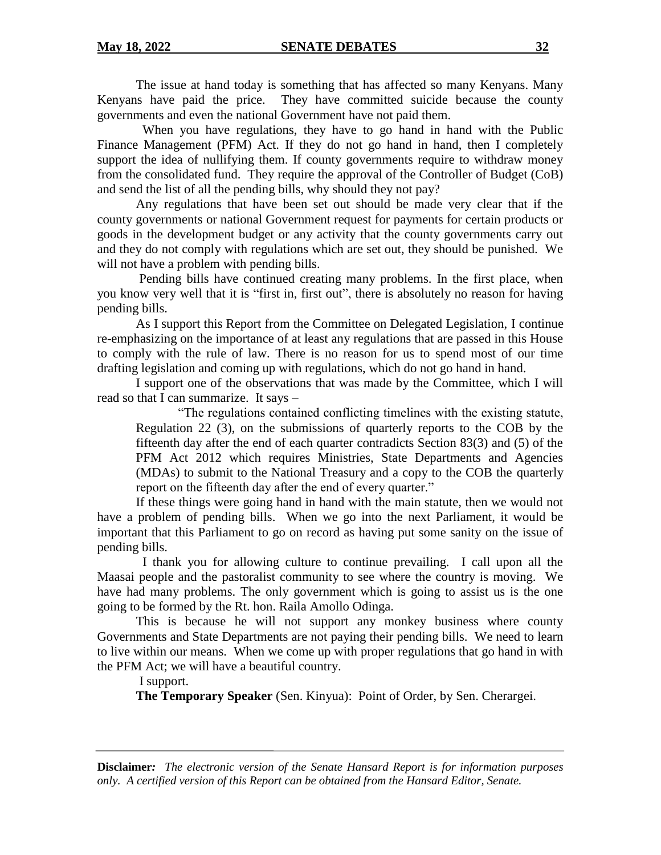The issue at hand today is something that has affected so many Kenyans. Many Kenyans have paid the price. They have committed suicide because the county governments and even the national Government have not paid them.

 When you have regulations, they have to go hand in hand with the Public Finance Management (PFM) Act. If they do not go hand in hand, then I completely support the idea of nullifying them. If county governments require to withdraw money from the consolidated fund. They require the approval of the Controller of Budget (CoB) and send the list of all the pending bills, why should they not pay?

Any regulations that have been set out should be made very clear that if the county governments or national Government request for payments for certain products or goods in the development budget or any activity that the county governments carry out and they do not comply with regulations which are set out, they should be punished. We will not have a problem with pending bills.

Pending bills have continued creating many problems. In the first place, when you know very well that it is "first in, first out", there is absolutely no reason for having pending bills.

As I support this Report from the Committee on Delegated Legislation, I continue re-emphasizing on the importance of at least any regulations that are passed in this House to comply with the rule of law. There is no reason for us to spend most of our time drafting legislation and coming up with regulations, which do not go hand in hand.

I support one of the observations that was made by the Committee, which I will read so that I can summarize. It says –

"The regulations contained conflicting timelines with the existing statute, Regulation 22 (3), on the submissions of quarterly reports to the COB by the fifteenth day after the end of each quarter contradicts Section 83(3) and (5) of the PFM Act 2012 which requires Ministries, State Departments and Agencies (MDAs) to submit to the National Treasury and a copy to the COB the quarterly report on the fifteenth day after the end of every quarter."

If these things were going hand in hand with the main statute, then we would not have a problem of pending bills. When we go into the next Parliament, it would be important that this Parliament to go on record as having put some sanity on the issue of pending bills.

 I thank you for allowing culture to continue prevailing. I call upon all the Maasai people and the pastoralist community to see where the country is moving. We have had many problems. The only government which is going to assist us is the one going to be formed by the Rt. hon. Raila Amollo Odinga.

This is because he will not support any monkey business where county Governments and State Departments are not paying their pending bills. We need to learn to live within our means. When we come up with proper regulations that go hand in with the PFM Act; we will have a beautiful country.

I support.

**The Temporary Speaker** (Sen. Kinyua):Point of Order, by Sen. Cherargei.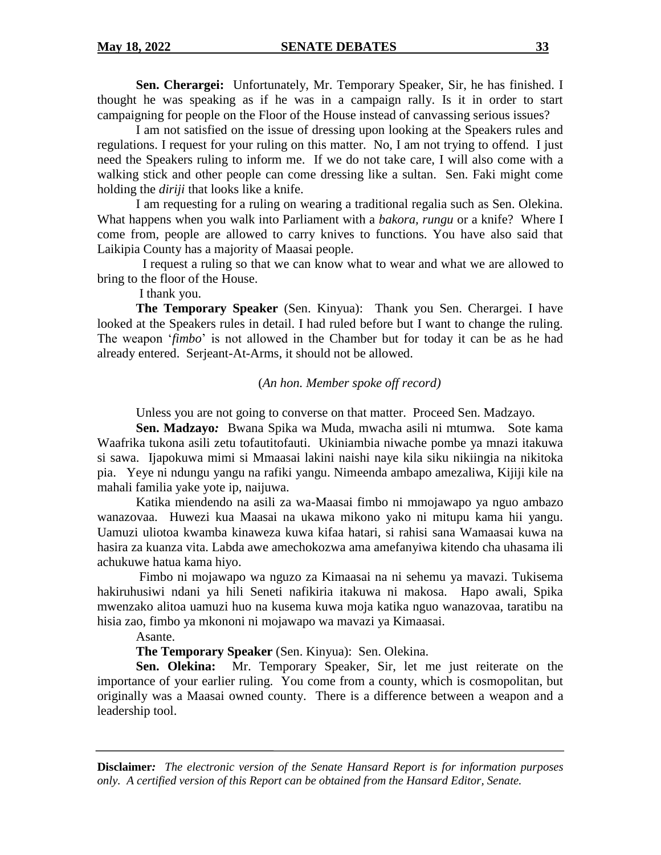**Sen. Cherargei:** Unfortunately, Mr. Temporary Speaker, Sir, he has finished. I thought he was speaking as if he was in a campaign rally. Is it in order to start campaigning for people on the Floor of the House instead of canvassing serious issues?

I am not satisfied on the issue of dressing upon looking at the Speakers rules and regulations. I request for your ruling on this matter. No, I am not trying to offend. I just need the Speakers ruling to inform me. If we do not take care, I will also come with a walking stick and other people can come dressing like a sultan. Sen. Faki might come holding the *diriji* that looks like a knife.

I am requesting for a ruling on wearing a traditional regalia such as Sen. Olekina. What happens when you walk into Parliament with a *bakora, rungu* or a knife? Where I come from, people are allowed to carry knives to functions. You have also said that Laikipia County has a majority of Maasai people.

 I request a ruling so that we can know what to wear and what we are allowed to bring to the floor of the House.

I thank you.

**The Temporary Speaker** (Sen. Kinyua): Thank you Sen. Cherargei. I have looked at the Speakers rules in detail. I had ruled before but I want to change the ruling. The weapon '*fimbo*' is not allowed in the Chamber but for today it can be as he had already entered. Serjeant-At-Arms, it should not be allowed.

### (*An hon. Member spoke off record)*

Unless you are not going to converse on that matter. Proceed Sen. Madzayo.

**Sen. Madzayo***:* Bwana Spika wa Muda, mwacha asili ni mtumwa. Sote kama Waafrika tukona asili zetu tofautitofauti. Ukiniambia niwache pombe ya mnazi itakuwa si sawa. Ijapokuwa mimi si Mmaasai lakini naishi naye kila siku nikiingia na nikitoka pia. Yeye ni ndungu yangu na rafiki yangu. Nimeenda ambapo amezaliwa, Kijiji kile na mahali familia yake yote ip, naijuwa.

Katika miendendo na asili za wa-Maasai fimbo ni mmojawapo ya nguo ambazo wanazovaa. Huwezi kua Maasai na ukawa mikono yako ni mitupu kama hii yangu. Uamuzi uliotoa kwamba kinaweza kuwa kifaa hatari, si rahisi sana Wamaasai kuwa na hasira za kuanza vita. Labda awe amechokozwa ama amefanyiwa kitendo cha uhasama ili achukuwe hatua kama hiyo.

Fimbo ni mojawapo wa nguzo za Kimaasai na ni sehemu ya mavazi. Tukisema hakiruhusiwi ndani ya hili Seneti nafikiria itakuwa ni makosa. Hapo awali, Spika mwenzako alitoa uamuzi huo na kusema kuwa moja katika nguo wanazovaa, taratibu na hisia zao, fimbo ya mkononi ni mojawapo wa mavazi ya Kimaasai.

Asante.

**The Temporary Speaker** (Sen. Kinyua): Sen. Olekina.

**Sen. Olekina:** Mr. Temporary Speaker, Sir, let me just reiterate on the importance of your earlier ruling. You come from a county, which is cosmopolitan, but originally was a Maasai owned county. There is a difference between a weapon and a leadership tool.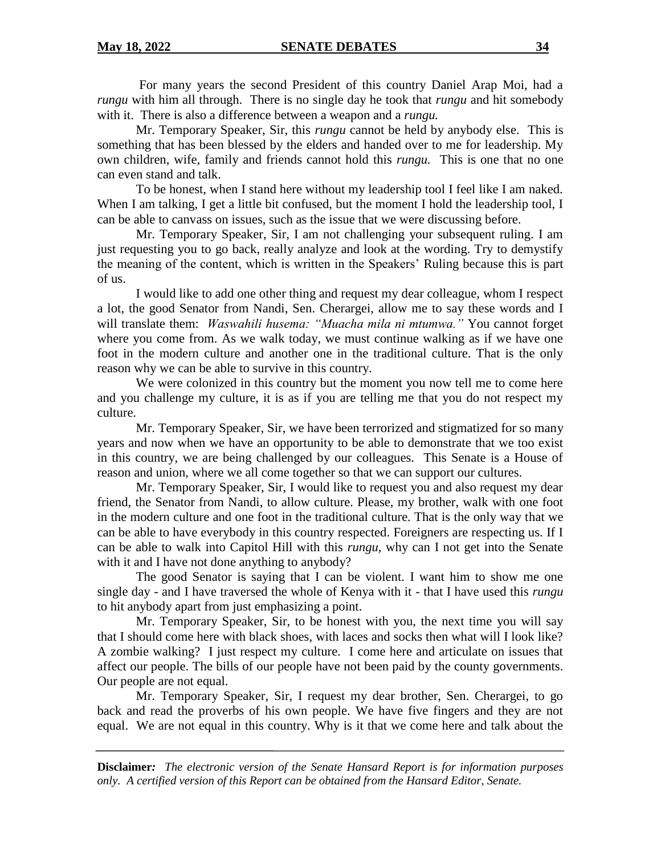For many years the second President of this country Daniel Arap Moi, had a *rungu* with him all through. There is no single day he took that *rungu* and hit somebody with it. There is also a difference between a weapon and a *rungu.*

Mr. Temporary Speaker, Sir, this *rungu* cannot be held by anybody else. This is something that has been blessed by the elders and handed over to me for leadership. My own children, wife, family and friends cannot hold this *rungu.* This is one that no one can even stand and talk.

To be honest, when I stand here without my leadership tool I feel like I am naked. When I am talking, I get a little bit confused, but the moment I hold the leadership tool, I can be able to canvass on issues, such as the issue that we were discussing before.

Mr. Temporary Speaker, Sir, I am not challenging your subsequent ruling. I am just requesting you to go back, really analyze and look at the wording. Try to demystify the meaning of the content, which is written in the Speakers' Ruling because this is part of us.

I would like to add one other thing and request my dear colleague, whom I respect a lot, the good Senator from Nandi, Sen. Cherargei, allow me to say these words and I will translate them: *Waswahili husema: "Muacha mila ni mtumwa."* You cannot forget where you come from. As we walk today, we must continue walking as if we have one foot in the modern culture and another one in the traditional culture. That is the only reason why we can be able to survive in this country.

We were colonized in this country but the moment you now tell me to come here and you challenge my culture, it is as if you are telling me that you do not respect my culture.

Mr. Temporary Speaker, Sir, we have been terrorized and stigmatized for so many years and now when we have an opportunity to be able to demonstrate that we too exist in this country, we are being challenged by our colleagues. This Senate is a House of reason and union, where we all come together so that we can support our cultures.

Mr. Temporary Speaker, Sir, I would like to request you and also request my dear friend, the Senator from Nandi, to allow culture. Please, my brother, walk with one foot in the modern culture and one foot in the traditional culture. That is the only way that we can be able to have everybody in this country respected. Foreigners are respecting us. If I can be able to walk into Capitol Hill with this *rungu,* why can I not get into the Senate with it and I have not done anything to anybody?

The good Senator is saying that I can be violent. I want him to show me one single day - and I have traversed the whole of Kenya with it - that I have used this *rungu*  to hit anybody apart from just emphasizing a point.

Mr. Temporary Speaker, Sir, to be honest with you, the next time you will say that I should come here with black shoes, with laces and socks then what will I look like? A zombie walking? I just respect my culture. I come here and articulate on issues that affect our people. The bills of our people have not been paid by the county governments. Our people are not equal.

Mr. Temporary Speaker, Sir, I request my dear brother, Sen. Cherargei, to go back and read the proverbs of his own people. We have five fingers and they are not equal. We are not equal in this country. Why is it that we come here and talk about the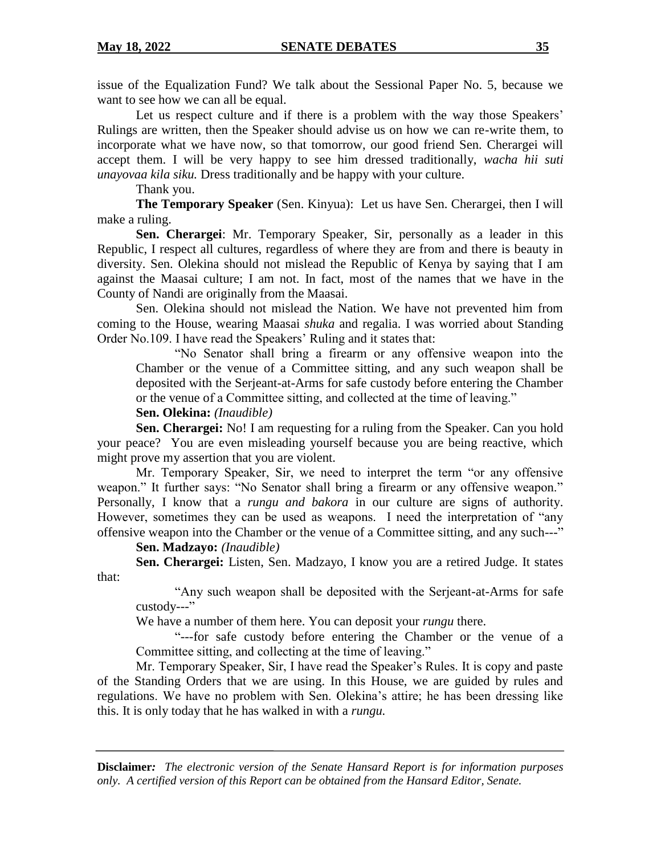issue of the Equalization Fund? We talk about the Sessional Paper No. 5, because we want to see how we can all be equal.

Let us respect culture and if there is a problem with the way those Speakers' Rulings are written, then the Speaker should advise us on how we can re-write them, to incorporate what we have now, so that tomorrow, our good friend Sen. Cherargei will accept them. I will be very happy to see him dressed traditionally, *wacha hii suti unayovaa kila siku.* Dress traditionally and be happy with your culture.

Thank you.

**The Temporary Speaker** (Sen. Kinyua): Let us have Sen. Cherargei, then I will make a ruling.

**Sen. Cherargei**: Mr. Temporary Speaker, Sir, personally as a leader in this Republic, I respect all cultures, regardless of where they are from and there is beauty in diversity. Sen. Olekina should not mislead the Republic of Kenya by saying that I am against the Maasai culture; I am not. In fact, most of the names that we have in the County of Nandi are originally from the Maasai.

Sen. Olekina should not mislead the Nation. We have not prevented him from coming to the House, wearing Maasai *shuka* and regalia. I was worried about Standing Order No.109. I have read the Speakers' Ruling and it states that:

"No Senator shall bring a firearm or any offensive weapon into the Chamber or the venue of a Committee sitting, and any such weapon shall be deposited with the Serjeant-at-Arms for safe custody before entering the Chamber or the venue of a Committee sitting, and collected at the time of leaving."

### **Sen. Olekina:** *(Inaudible)*

**Sen. Cherargei:** No! I am requesting for a ruling from the Speaker. Can you hold your peace? You are even misleading yourself because you are being reactive, which might prove my assertion that you are violent.

Mr. Temporary Speaker, Sir, we need to interpret the term "or any offensive weapon." It further says: "No Senator shall bring a firearm or any offensive weapon." Personally, I know that a *rungu and bakora* in our culture are signs of authority. However, sometimes they can be used as weapons. I need the interpretation of "any offensive weapon into the Chamber or the venue of a Committee sitting, and any such---"

# **Sen. Madzayo:** *(Inaudible)*

**Sen. Cherargei:** Listen, Sen. Madzayo, I know you are a retired Judge. It states that:

"Any such weapon shall be deposited with the Serjeant-at-Arms for safe custody---"

We have a number of them here. You can deposit your *rungu* there.

"---for safe custody before entering the Chamber or the venue of a Committee sitting, and collecting at the time of leaving."

Mr. Temporary Speaker, Sir, I have read the Speaker's Rules. It is copy and paste of the Standing Orders that we are using. In this House, we are guided by rules and regulations. We have no problem with Sen. Olekina's attire; he has been dressing like this. It is only today that he has walked in with a *rungu.*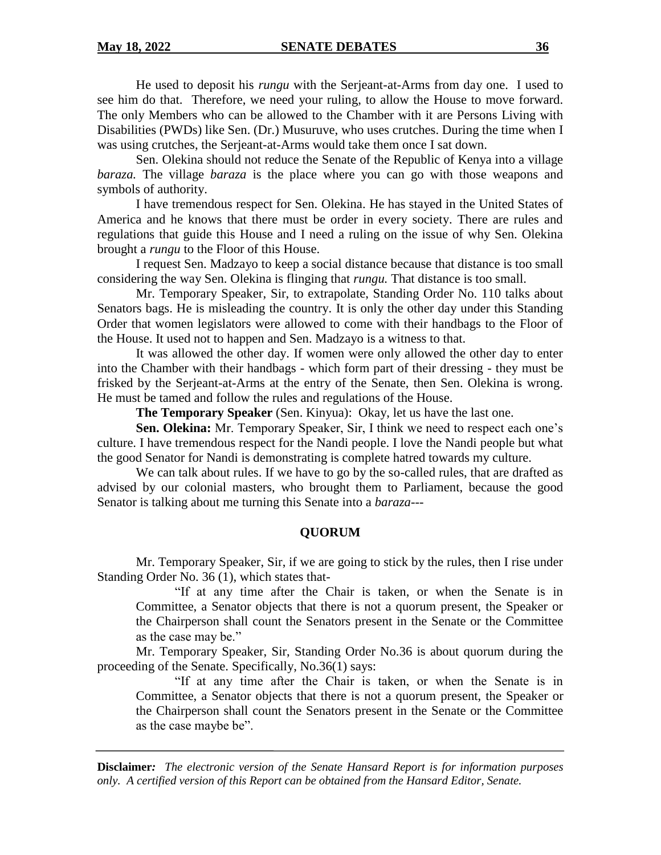#### **May 18, 2022 SENATE DEBATES 36**

He used to deposit his *rungu* with the Serjeant-at-Arms from day one. I used to see him do that. Therefore, we need your ruling, to allow the House to move forward. The only Members who can be allowed to the Chamber with it are Persons Living with Disabilities (PWDs) like Sen. (Dr.) Musuruve, who uses crutches. During the time when I was using crutches, the Serjeant-at-Arms would take them once I sat down.

Sen. Olekina should not reduce the Senate of the Republic of Kenya into a village *baraza.* The village *baraza* is the place where you can go with those weapons and symbols of authority.

I have tremendous respect for Sen. Olekina. He has stayed in the United States of America and he knows that there must be order in every society. There are rules and regulations that guide this House and I need a ruling on the issue of why Sen. Olekina brought a *rungu* to the Floor of this House.

I request Sen. Madzayo to keep a social distance because that distance is too small considering the way Sen. Olekina is flinging that *rungu.* That distance is too small.

Mr. Temporary Speaker, Sir, to extrapolate, Standing Order No. 110 talks about Senators bags. He is misleading the country. It is only the other day under this Standing Order that women legislators were allowed to come with their handbags to the Floor of the House. It used not to happen and Sen. Madzayo is a witness to that.

It was allowed the other day. If women were only allowed the other day to enter into the Chamber with their handbags - which form part of their dressing - they must be frisked by the Serjeant-at-Arms at the entry of the Senate, then Sen. Olekina is wrong. He must be tamed and follow the rules and regulations of the House.

**The Temporary Speaker** (Sen. Kinyua): Okay, let us have the last one.

**Sen. Olekina:** Mr. Temporary Speaker, Sir, I think we need to respect each one's culture. I have tremendous respect for the Nandi people. I love the Nandi people but what the good Senator for Nandi is demonstrating is complete hatred towards my culture.

We can talk about rules. If we have to go by the so-called rules, that are drafted as advised by our colonial masters, who brought them to Parliament, because the good Senator is talking about me turning this Senate into a *baraza*---

### **QUORUM**

Mr. Temporary Speaker, Sir, if we are going to stick by the rules, then I rise under Standing Order No. 36 (1), which states that-

"If at any time after the Chair is taken, or when the Senate is in Committee, a Senator objects that there is not a quorum present, the Speaker or the Chairperson shall count the Senators present in the Senate or the Committee as the case may be."

Mr. Temporary Speaker, Sir, Standing Order No.36 is about quorum during the proceeding of the Senate. Specifically, No.36(1) says:

"If at any time after the Chair is taken, or when the Senate is in Committee, a Senator objects that there is not a quorum present, the Speaker or the Chairperson shall count the Senators present in the Senate or the Committee as the case maybe be".